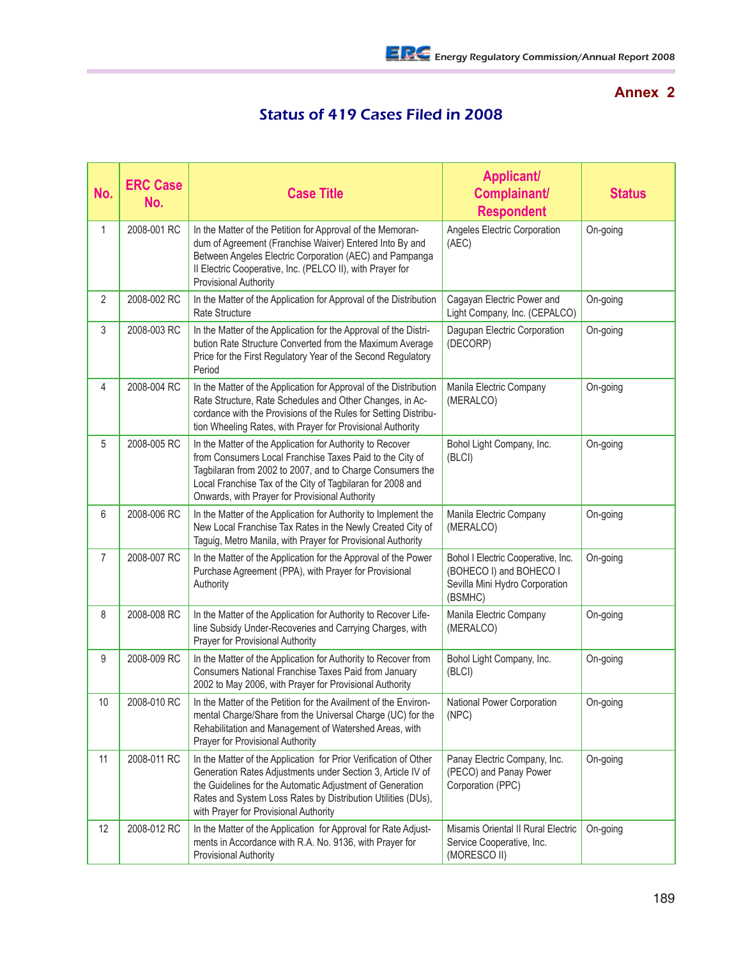## **Annex 2**

## Status of 419 Cases Filed in 2008

| No.            | <b>ERC Case</b><br>No. | <b>Case Title</b>                                                                                                                                                                                                                                                                                     | <b>Applicant/</b><br>Complainant/<br><b>Respondent</b>                                                     | <b>Status</b> |
|----------------|------------------------|-------------------------------------------------------------------------------------------------------------------------------------------------------------------------------------------------------------------------------------------------------------------------------------------------------|------------------------------------------------------------------------------------------------------------|---------------|
| $\mathbf{1}$   | 2008-001 RC            | In the Matter of the Petition for Approval of the Memoran-<br>dum of Agreement (Franchise Waiver) Entered Into By and<br>Between Angeles Electric Corporation (AEC) and Pampanga<br>Il Electric Cooperative, Inc. (PELCO II), with Prayer for<br><b>Provisional Authority</b>                         | Angeles Electric Corporation<br>(AEC)                                                                      | On-going      |
| $\overline{2}$ | 2008-002 RC            | In the Matter of the Application for Approval of the Distribution<br>Rate Structure                                                                                                                                                                                                                   | Cagayan Electric Power and<br>Light Company, Inc. (CEPALCO)                                                | On-going      |
| 3              | 2008-003 RC            | In the Matter of the Application for the Approval of the Distri-<br>bution Rate Structure Converted from the Maximum Average<br>Price for the First Regulatory Year of the Second Regulatory<br>Period                                                                                                | Dagupan Electric Corporation<br>(DECORP)                                                                   | On-going      |
| 4              | 2008-004 RC            | In the Matter of the Application for Approval of the Distribution<br>Rate Structure, Rate Schedules and Other Changes, in Ac-<br>cordance with the Provisions of the Rules for Setting Distribu-<br>tion Wheeling Rates, with Prayer for Provisional Authority                                        | Manila Electric Company<br>(MERALCO)                                                                       | On-going      |
| 5              | 2008-005 RC            | In the Matter of the Application for Authority to Recover<br>from Consumers Local Franchise Taxes Paid to the City of<br>Tagbilaran from 2002 to 2007, and to Charge Consumers the<br>Local Franchise Tax of the City of Tagbilaran for 2008 and<br>Onwards, with Prayer for Provisional Authority    | Bohol Light Company, Inc.<br>(BLCI)                                                                        | On-going      |
| 6              | 2008-006 RC            | In the Matter of the Application for Authority to Implement the<br>New Local Franchise Tax Rates in the Newly Created City of<br>Taguig, Metro Manila, with Prayer for Provisional Authority                                                                                                          | Manila Electric Company<br>(MERALCO)                                                                       | On-going      |
| $\overline{7}$ | 2008-007 RC            | In the Matter of the Application for the Approval of the Power<br>Purchase Agreement (PPA), with Prayer for Provisional<br>Authority                                                                                                                                                                  | Bohol I Electric Cooperative, Inc.<br>(BOHECO I) and BOHECO I<br>Sevilla Mini Hydro Corporation<br>(BSMHC) | On-going      |
| 8              | 2008-008 RC            | In the Matter of the Application for Authority to Recover Life-<br>line Subsidy Under-Recoveries and Carrying Charges, with<br>Prayer for Provisional Authority                                                                                                                                       | Manila Electric Company<br>(MERALCO)                                                                       | On-going      |
| 9              | 2008-009 RC            | In the Matter of the Application for Authority to Recover from<br>Consumers National Franchise Taxes Paid from January<br>2002 to May 2006, with Prayer for Provisional Authority                                                                                                                     | Bohol Light Company, Inc.<br>(BLCI)                                                                        | On-going      |
| 10             | 2008-010 RC            | In the Matter of the Petition for the Availment of the Environ-<br>mental Charge/Share from the Universal Charge (UC) for the<br>Rehabilitation and Management of Watershed Areas, with<br>Prayer for Provisional Authority                                                                           | National Power Corporation<br>(NPC)                                                                        | On-going      |
| 11             | 2008-011 RC            | In the Matter of the Application for Prior Verification of Other<br>Generation Rates Adjustments under Section 3, Article IV of<br>the Guidelines for the Automatic Adjustment of Generation<br>Rates and System Loss Rates by Distribution Utilities (DUs),<br>with Prayer for Provisional Authority | Panay Electric Company, Inc.<br>(PECO) and Panay Power<br>Corporation (PPC)                                | On-going      |
| 12             | 2008-012 RC            | In the Matter of the Application for Approval for Rate Adjust-<br>ments in Accordance with R.A. No. 9136, with Prayer for<br><b>Provisional Authority</b>                                                                                                                                             | Misamis Oriental II Rural Electric<br>Service Cooperative, Inc.<br>(MORESCO II)                            | On-going      |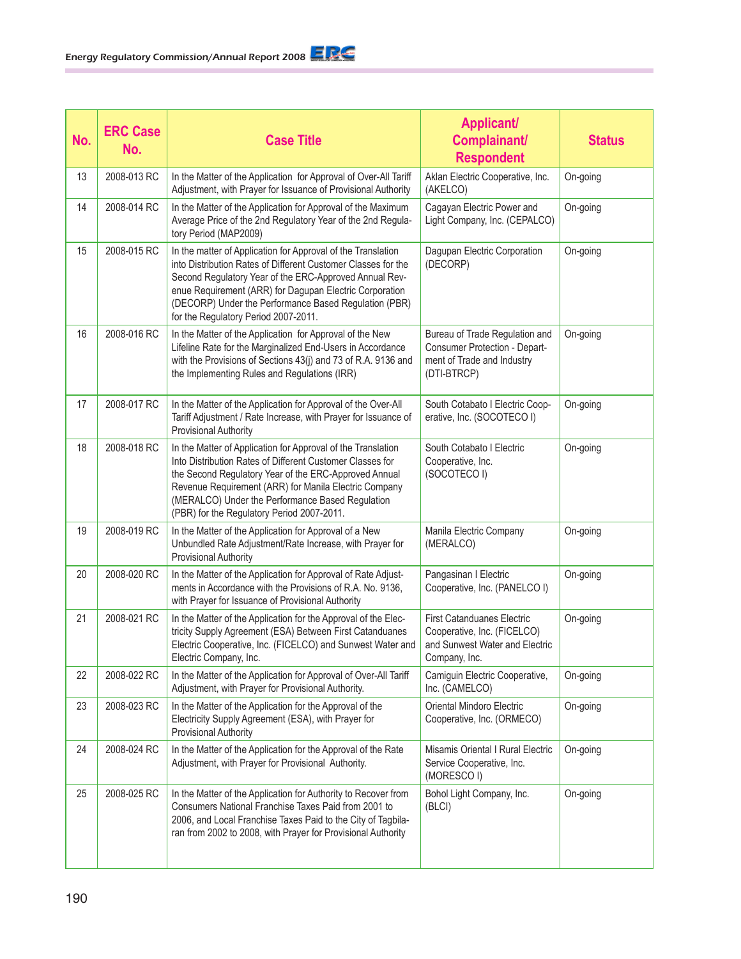| No. | <b>ERC Case</b><br>No. | <b>Case Title</b>                                                                                                                                                                                                                                                                                                                                   | <b>Applicant/</b><br>Complainant/<br><b>Respondent</b>                                                              | <b>Status</b> |
|-----|------------------------|-----------------------------------------------------------------------------------------------------------------------------------------------------------------------------------------------------------------------------------------------------------------------------------------------------------------------------------------------------|---------------------------------------------------------------------------------------------------------------------|---------------|
| 13  | 2008-013 RC            | In the Matter of the Application for Approval of Over-All Tariff<br>Adjustment, with Prayer for Issuance of Provisional Authority                                                                                                                                                                                                                   | Aklan Electric Cooperative, Inc.<br>(AKELCO)                                                                        | On-going      |
| 14  | 2008-014 RC            | In the Matter of the Application for Approval of the Maximum<br>Average Price of the 2nd Regulatory Year of the 2nd Regula-<br>tory Period (MAP2009)                                                                                                                                                                                                | Cagayan Electric Power and<br>Light Company, Inc. (CEPALCO)                                                         | On-going      |
| 15  | 2008-015 RC            | In the matter of Application for Approval of the Translation<br>into Distribution Rates of Different Customer Classes for the<br>Second Regulatory Year of the ERC-Approved Annual Rev-<br>enue Requirement (ARR) for Dagupan Electric Corporation<br>(DECORP) Under the Performance Based Regulation (PBR)<br>for the Regulatory Period 2007-2011. | Dagupan Electric Corporation<br>(DECORP)                                                                            | On-going      |
| 16  | 2008-016 RC            | In the Matter of the Application for Approval of the New<br>Lifeline Rate for the Marginalized End-Users in Accordance<br>with the Provisions of Sections 43(j) and 73 of R.A. 9136 and<br>the Implementing Rules and Regulations (IRR)                                                                                                             | Bureau of Trade Regulation and<br>Consumer Protection - Depart-<br>ment of Trade and Industry<br>(DTI-BTRCP)        | On-going      |
| 17  | 2008-017 RC            | In the Matter of the Application for Approval of the Over-All<br>Tariff Adjustment / Rate Increase, with Prayer for Issuance of<br><b>Provisional Authority</b>                                                                                                                                                                                     | South Cotabato I Electric Coop-<br>erative, Inc. (SOCOTECO I)                                                       | On-going      |
| 18  | 2008-018 RC            | In the Matter of Application for Approval of the Translation<br>Into Distribution Rates of Different Customer Classes for<br>the Second Regulatory Year of the ERC-Approved Annual<br>Revenue Requirement (ARR) for Manila Electric Company<br>(MERALCO) Under the Performance Based Regulation<br>(PBR) for the Regulatory Period 2007-2011.       | South Cotabato I Electric<br>Cooperative, Inc.<br>(SOCOTECO I)                                                      | On-going      |
| 19  | 2008-019 RC            | In the Matter of the Application for Approval of a New<br>Unbundled Rate Adjustment/Rate Increase, with Prayer for<br>Provisional Authority                                                                                                                                                                                                         | Manila Electric Company<br>(MERALCO)                                                                                | On-going      |
| 20  | 2008-020 RC            | In the Matter of the Application for Approval of Rate Adjust-<br>ments in Accordance with the Provisions of R.A. No. 9136,<br>with Prayer for Issuance of Provisional Authority                                                                                                                                                                     | Pangasinan I Electric<br>Cooperative, Inc. (PANELCO I)                                                              | On-going      |
| 21  | 2008-021 RC            | In the Matter of the Application for the Approval of the Elec-<br>tricity Supply Agreement (ESA) Between First Catanduanes<br>Electric Cooperative, Inc. (FICELCO) and Sunwest Water and<br>Electric Company, Inc.                                                                                                                                  | <b>First Catanduanes Electric</b><br>Cooperative, Inc. (FICELCO)<br>and Sunwest Water and Electric<br>Company, Inc. | On-going      |
| 22  | 2008-022 RC            | In the Matter of the Application for Approval of Over-All Tariff<br>Adjustment, with Prayer for Provisional Authority.                                                                                                                                                                                                                              | Camiguin Electric Cooperative,<br>Inc. (CAMELCO)                                                                    | On-going      |
| 23  | 2008-023 RC            | In the Matter of the Application for the Approval of the<br>Electricity Supply Agreement (ESA), with Prayer for<br>Provisional Authority                                                                                                                                                                                                            | Oriental Mindoro Electric<br>Cooperative, Inc. (ORMECO)                                                             | On-going      |
| 24  | 2008-024 RC            | In the Matter of the Application for the Approval of the Rate<br>Adjustment, with Prayer for Provisional Authority.                                                                                                                                                                                                                                 | Misamis Oriental I Rural Electric<br>Service Cooperative, Inc.<br>(MORESCO I)                                       | On-going      |
| 25  | 2008-025 RC            | In the Matter of the Application for Authority to Recover from<br>Consumers National Franchise Taxes Paid from 2001 to<br>2006, and Local Franchise Taxes Paid to the City of Tagbila-<br>ran from 2002 to 2008, with Prayer for Provisional Authority                                                                                              | Bohol Light Company, Inc.<br>(BLCI)                                                                                 | On-going      |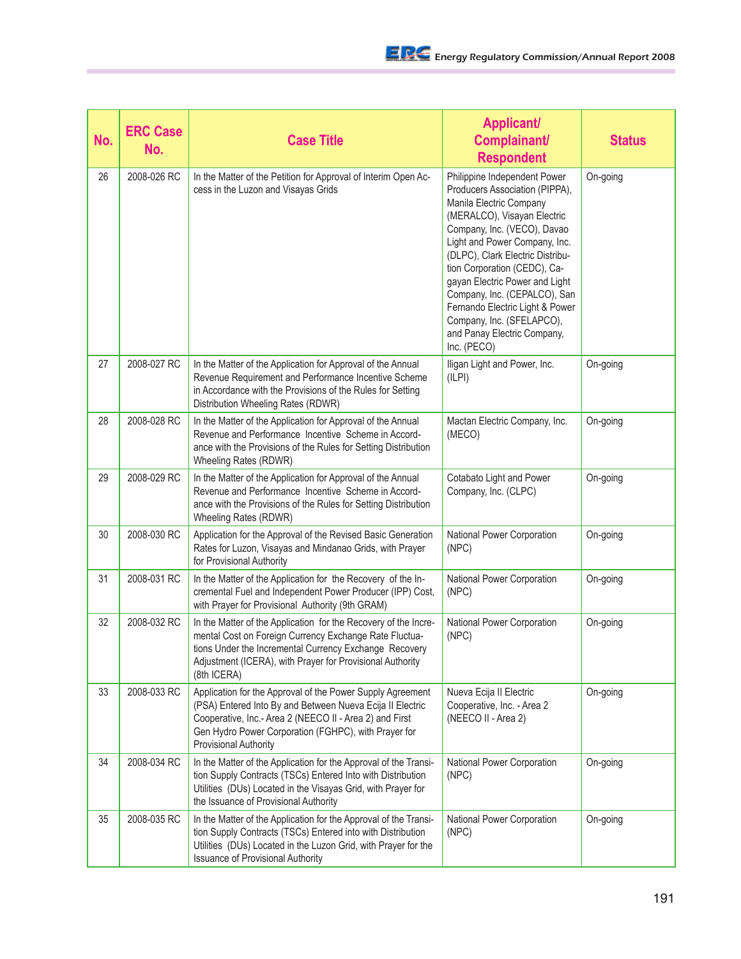| No. | <b>ERC Case</b><br>No. | <b>Case Title</b>                                                                                                                                                                                                                                                          | <b>Applicant/</b><br>Complainant/<br><b>Respondent</b>                                                                                                                                                                                                                                                                                                                                                                                       | <b>Status</b> |
|-----|------------------------|----------------------------------------------------------------------------------------------------------------------------------------------------------------------------------------------------------------------------------------------------------------------------|----------------------------------------------------------------------------------------------------------------------------------------------------------------------------------------------------------------------------------------------------------------------------------------------------------------------------------------------------------------------------------------------------------------------------------------------|---------------|
| 26  | 2008-026 RC            | In the Matter of the Petition for Approval of Interim Open Ac-<br>cess in the Luzon and Visayas Grids                                                                                                                                                                      | Philippine Independent Power<br>Producers Association (PIPPA),<br>Manila Electric Company<br>(MERALCO), Visayan Electric<br>Company, Inc. (VECO), Davao<br>Light and Power Company, Inc.<br>(DLPC), Clark Electric Distribu-<br>tion Corporation (CEDC), Ca-<br>gayan Electric Power and Light<br>Company, Inc. (CEPALCO), San<br>Fernando Electric Light & Power<br>Company, Inc. (SFELAPCO),<br>and Panay Electric Company,<br>Inc. (PECO) | On-going      |
| 27  | 2008-027 RC            | In the Matter of the Application for Approval of the Annual<br>Revenue Requirement and Performance Incentive Scheme<br>in Accordance with the Provisions of the Rules for Setting<br>Distribution Wheeling Rates (RDWR)                                                    | Iligan Light and Power, Inc.<br>(ILPI)                                                                                                                                                                                                                                                                                                                                                                                                       | On-going      |
| 28  | 2008-028 RC            | In the Matter of the Application for Approval of the Annual<br>Revenue and Performance Incentive Scheme in Accord-<br>ance with the Provisions of the Rules for Setting Distribution<br>Wheeling Rates (RDWR)                                                              | Mactan Electric Company, Inc.<br>(MECO)                                                                                                                                                                                                                                                                                                                                                                                                      | On-going      |
| 29  | 2008-029 RC            | In the Matter of the Application for Approval of the Annual<br>Revenue and Performance Incentive Scheme in Accord-<br>ance with the Provisions of the Rules for Setting Distribution<br>Wheeling Rates (RDWR)                                                              | Cotabato Light and Power<br>Company, Inc. (CLPC)                                                                                                                                                                                                                                                                                                                                                                                             | On-going      |
| 30  | 2008-030 RC            | Application for the Approval of the Revised Basic Generation<br>Rates for Luzon, Visayas and Mindanao Grids, with Prayer<br>for Provisional Authority                                                                                                                      | National Power Corporation<br>(NPC)                                                                                                                                                                                                                                                                                                                                                                                                          | On-going      |
| 31  | 2008-031 RC            | In the Matter of the Application for the Recovery of the In-<br>cremental Fuel and Independent Power Producer (IPP) Cost,<br>with Prayer for Provisional Authority (9th GRAM)                                                                                              | National Power Corporation<br>(NPC)                                                                                                                                                                                                                                                                                                                                                                                                          | On-going      |
| 32  | 2008-032 RC            | In the Matter of the Application for the Recovery of the Incre-<br>mental Cost on Foreign Currency Exchange Rate Fluctua-<br>tions Under the Incremental Currency Exchange Recovery<br>Adjustment (ICERA), with Prayer for Provisional Authority<br>(8th ICERA)            | National Power Corporation<br>(NPC)                                                                                                                                                                                                                                                                                                                                                                                                          | On-going      |
| 33  | 2008-033 RC            | Application for the Approval of the Power Supply Agreement<br>(PSA) Entered Into By and Between Nueva Ecija II Electric<br>Cooperative, Inc.- Area 2 (NEECO II - Area 2) and First<br>Gen Hydro Power Corporation (FGHPC), with Prayer for<br><b>Provisional Authority</b> | Nueva Ecija II Electric<br>Cooperative, Inc. - Area 2<br>(NEECO II - Area 2)                                                                                                                                                                                                                                                                                                                                                                 | On-going      |
| 34  | 2008-034 RC            | In the Matter of the Application for the Approval of the Transi-<br>tion Supply Contracts (TSCs) Entered Into with Distribution<br>Utilities (DUs) Located in the Visayas Grid, with Prayer for<br>the Issuance of Provisional Authority                                   | National Power Corporation<br>(NPC)                                                                                                                                                                                                                                                                                                                                                                                                          | On-going      |
| 35  | 2008-035 RC            | In the Matter of the Application for the Approval of the Transi-<br>tion Supply Contracts (TSCs) Entered into with Distribution<br>Utilities (DUs) Located in the Luzon Grid, with Prayer for the<br><b>Issuance of Provisional Authority</b>                              | National Power Corporation<br>(NPC)                                                                                                                                                                                                                                                                                                                                                                                                          | On-going      |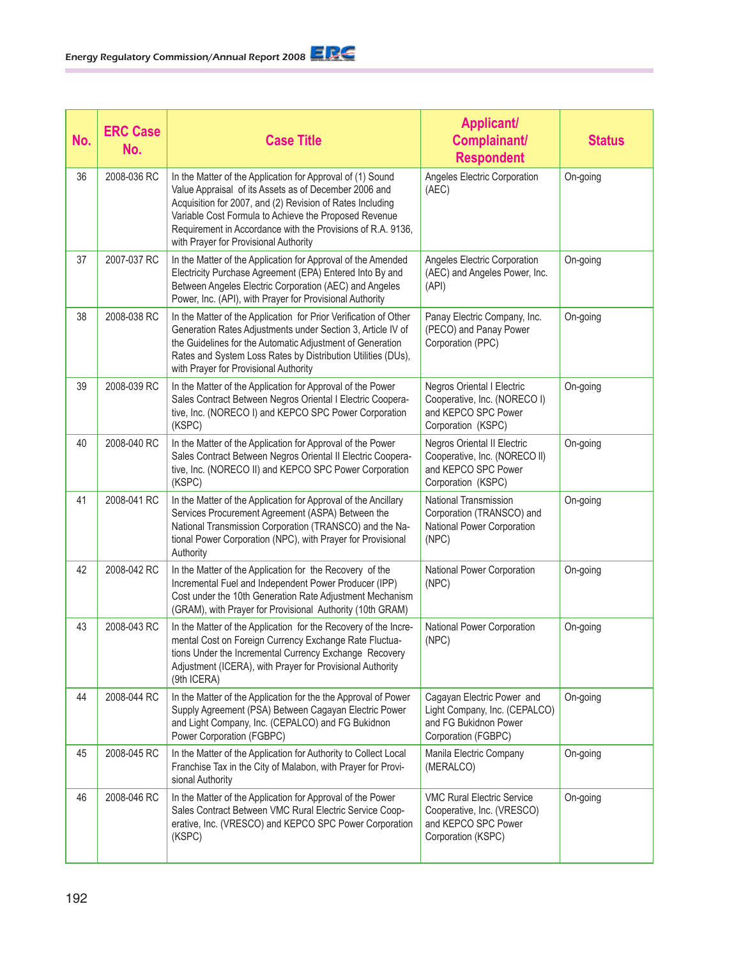| No. | <b>ERC Case</b><br>No. | <b>Case Title</b>                                                                                                                                                                                                                                                                                                                                 | <b>Applicant/</b><br>Complainant/<br><b>Respondent</b>                                                         | <b>Status</b> |
|-----|------------------------|---------------------------------------------------------------------------------------------------------------------------------------------------------------------------------------------------------------------------------------------------------------------------------------------------------------------------------------------------|----------------------------------------------------------------------------------------------------------------|---------------|
| 36  | 2008-036 RC            | In the Matter of the Application for Approval of (1) Sound<br>Value Appraisal of its Assets as of December 2006 and<br>Acquisition for 2007, and (2) Revision of Rates Including<br>Variable Cost Formula to Achieve the Proposed Revenue<br>Requirement in Accordance with the Provisions of R.A. 9136,<br>with Prayer for Provisional Authority | Angeles Electric Corporation<br>(AEC)                                                                          | On-going      |
| 37  | 2007-037 RC            | In the Matter of the Application for Approval of the Amended<br>Electricity Purchase Agreement (EPA) Entered Into By and<br>Between Angeles Electric Corporation (AEC) and Angeles<br>Power, Inc. (API), with Prayer for Provisional Authority                                                                                                    | Angeles Electric Corporation<br>(AEC) and Angeles Power, Inc.<br>(API)                                         | On-going      |
| 38  | 2008-038 RC            | In the Matter of the Application for Prior Verification of Other<br>Generation Rates Adjustments under Section 3, Article IV of<br>the Guidelines for the Automatic Adjustment of Generation<br>Rates and System Loss Rates by Distribution Utilities (DUs),<br>with Prayer for Provisional Authority                                             | Panay Electric Company, Inc.<br>(PECO) and Panay Power<br>Corporation (PPC)                                    | On-going      |
| 39  | 2008-039 RC            | In the Matter of the Application for Approval of the Power<br>Sales Contract Between Negros Oriental I Electric Coopera-<br>tive, Inc. (NORECO I) and KEPCO SPC Power Corporation<br>(KSPC)                                                                                                                                                       | <b>Negros Oriental I Electric</b><br>Cooperative, Inc. (NORECO I)<br>and KEPCO SPC Power<br>Corporation (KSPC) | On-going      |
| 40  | 2008-040 RC            | In the Matter of the Application for Approval of the Power<br>Sales Contract Between Negros Oriental II Electric Coopera-<br>tive, Inc. (NORECO II) and KEPCO SPC Power Corporation<br>(KSPC)                                                                                                                                                     | Negros Oriental II Electric<br>Cooperative, Inc. (NORECO II)<br>and KEPCO SPC Power<br>Corporation (KSPC)      | On-going      |
| 41  | 2008-041 RC            | In the Matter of the Application for Approval of the Ancillary<br>Services Procurement Agreement (ASPA) Between the<br>National Transmission Corporation (TRANSCO) and the Na-<br>tional Power Corporation (NPC), with Prayer for Provisional<br>Authority                                                                                        | <b>National Transmission</b><br>Corporation (TRANSCO) and<br>National Power Corporation<br>(NPC)               | On-going      |
| 42  | 2008-042 RC            | In the Matter of the Application for the Recovery of the<br>Incremental Fuel and Independent Power Producer (IPP)<br>Cost under the 10th Generation Rate Adjustment Mechanism<br>(GRAM), with Prayer for Provisional Authority (10th GRAM)                                                                                                        | National Power Corporation<br>(NPC)                                                                            | On-going      |
| 43  | 2008-043 RC            | In the Matter of the Application for the Recovery of the Incre-<br>mental Cost on Foreign Currency Exchange Rate Fluctua-<br>tions Under the Incremental Currency Exchange Recovery<br>Adjustment (ICERA), with Prayer for Provisional Authority<br>(9th ICERA)                                                                                   | National Power Corporation<br>(NPC)                                                                            | On-going      |
| 44  | 2008-044 RC            | In the Matter of the Application for the the Approval of Power<br>Supply Agreement (PSA) Between Cagayan Electric Power<br>and Light Company, Inc. (CEPALCO) and FG Bukidnon<br>Power Corporation (FGBPC)                                                                                                                                         | Cagayan Electric Power and<br>Light Company, Inc. (CEPALCO)<br>and FG Bukidnon Power<br>Corporation (FGBPC)    | On-going      |
| 45  | 2008-045 RC            | In the Matter of the Application for Authority to Collect Local<br>Franchise Tax in the City of Malabon, with Prayer for Provi-<br>sional Authority                                                                                                                                                                                               | Manila Electric Company<br>(MERALCO)                                                                           | On-going      |
| 46  | 2008-046 RC            | In the Matter of the Application for Approval of the Power<br>Sales Contract Between VMC Rural Electric Service Coop-<br>erative, Inc. (VRESCO) and KEPCO SPC Power Corporation<br>(KSPC)                                                                                                                                                         | <b>VMC Rural Electric Service</b><br>Cooperative, Inc. (VRESCO)<br>and KEPCO SPC Power<br>Corporation (KSPC)   | On-going      |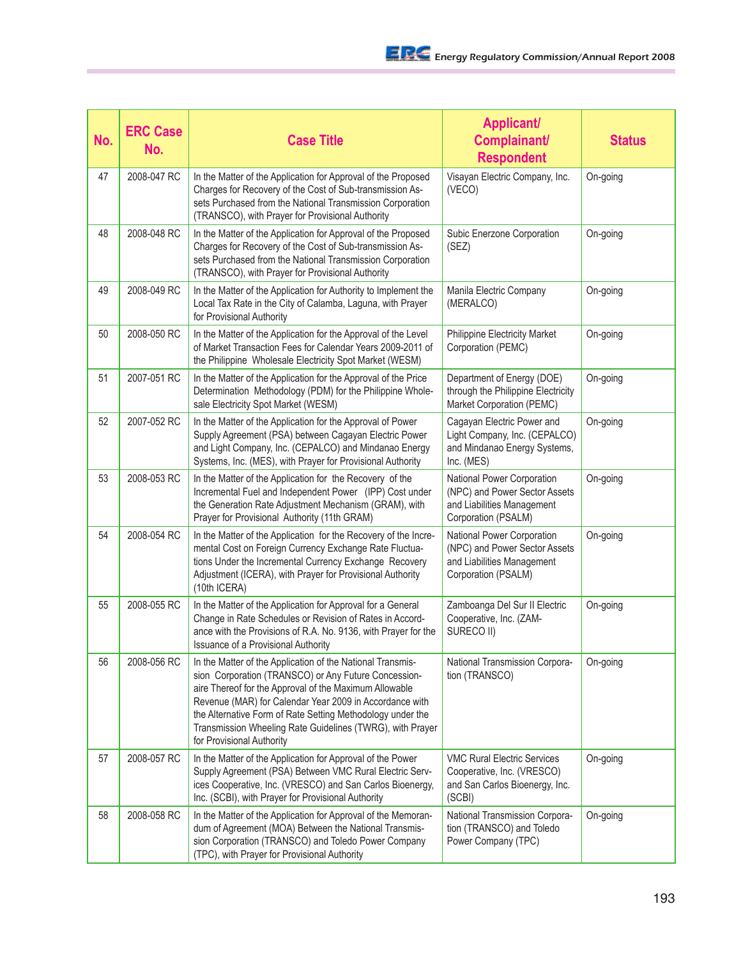| No. | <b>ERC Case</b><br>No. | <b>Case Title</b>                                                                                                                                                                                                                                                                                                                                                                               | <b>Applicant/</b><br>Complainant/<br><b>Respondent</b>                                                           | <b>Status</b> |
|-----|------------------------|-------------------------------------------------------------------------------------------------------------------------------------------------------------------------------------------------------------------------------------------------------------------------------------------------------------------------------------------------------------------------------------------------|------------------------------------------------------------------------------------------------------------------|---------------|
| 47  | 2008-047 RC            | In the Matter of the Application for Approval of the Proposed<br>Charges for Recovery of the Cost of Sub-transmission As-<br>sets Purchased from the National Transmission Corporation<br>(TRANSCO), with Prayer for Provisional Authority                                                                                                                                                      | Visayan Electric Company, Inc.<br>(VECO)                                                                         | On-going      |
| 48  | 2008-048 RC            | In the Matter of the Application for Approval of the Proposed<br>Charges for Recovery of the Cost of Sub-transmission As-<br>sets Purchased from the National Transmission Corporation<br>(TRANSCO), with Prayer for Provisional Authority                                                                                                                                                      | Subic Enerzone Corporation<br>(SEZ)                                                                              | On-going      |
| 49  | 2008-049 RC            | In the Matter of the Application for Authority to Implement the<br>Local Tax Rate in the City of Calamba, Laguna, with Prayer<br>for Provisional Authority                                                                                                                                                                                                                                      | Manila Electric Company<br>(MERALCO)                                                                             | On-going      |
| 50  | 2008-050 RC            | In the Matter of the Application for the Approval of the Level<br>of Market Transaction Fees for Calendar Years 2009-2011 of<br>the Philippine Wholesale Electricity Spot Market (WESM)                                                                                                                                                                                                         | Philippine Electricity Market<br>Corporation (PEMC)                                                              | On-going      |
| 51  | 2007-051 RC            | In the Matter of the Application for the Approval of the Price<br>Determination Methodology (PDM) for the Philippine Whole-<br>sale Electricity Spot Market (WESM)                                                                                                                                                                                                                              | Department of Energy (DOE)<br>through the Philippine Electricity<br>Market Corporation (PEMC)                    | On-going      |
| 52  | 2007-052 RC            | In the Matter of the Application for the Approval of Power<br>Supply Agreement (PSA) between Cagayan Electric Power<br>and Light Company, Inc. (CEPALCO) and Mindanao Energy<br>Systems, Inc. (MES), with Prayer for Provisional Authority                                                                                                                                                      | Cagayan Electric Power and<br>Light Company, Inc. (CEPALCO)<br>and Mindanao Energy Systems,<br>Inc. (MES)        | On-going      |
| 53  | 2008-053 RC            | In the Matter of the Application for the Recovery of the<br>Incremental Fuel and Independent Power (IPP) Cost under<br>the Generation Rate Adjustment Mechanism (GRAM), with<br>Prayer for Provisional Authority (11th GRAM)                                                                                                                                                                    | National Power Corporation<br>(NPC) and Power Sector Assets<br>and Liabilities Management<br>Corporation (PSALM) | On-going      |
| 54  | 2008-054 RC            | In the Matter of the Application for the Recovery of the Incre-<br>mental Cost on Foreign Currency Exchange Rate Fluctua-<br>tions Under the Incremental Currency Exchange Recovery<br>Adjustment (ICERA), with Prayer for Provisional Authority<br>(10th ICERA)                                                                                                                                | National Power Corporation<br>(NPC) and Power Sector Assets<br>and Liabilities Management<br>Corporation (PSALM) | On-going      |
| 55  | 2008-055 RC            | In the Matter of the Application for Approval for a General<br>Change in Rate Schedules or Revision of Rates in Accord-<br>ance with the Provisions of R.A. No. 9136, with Prayer for the<br>Issuance of a Provisional Authority                                                                                                                                                                | Zamboanga Del Sur II Electric<br>Cooperative, Inc. (ZAM-<br>SURECO II)                                           | On-going      |
| 56  | 2008-056 RC            | In the Matter of the Application of the National Transmis-<br>sion Corporation (TRANSCO) or Any Future Concession-<br>aire Thereof for the Approval of the Maximum Allowable<br>Revenue (MAR) for Calendar Year 2009 in Accordance with<br>the Alternative Form of Rate Setting Methodology under the<br>Transmission Wheeling Rate Guidelines (TWRG), with Prayer<br>for Provisional Authority | National Transmission Corpora-<br>tion (TRANSCO)                                                                 | On-going      |
| 57  | 2008-057 RC            | In the Matter of the Application for Approval of the Power<br>Supply Agreement (PSA) Between VMC Rural Electric Serv-<br>ices Cooperative, Inc. (VRESCO) and San Carlos Bioenergy,<br>Inc. (SCBI), with Prayer for Provisional Authority                                                                                                                                                        | <b>VMC Rural Electric Services</b><br>Cooperative, Inc. (VRESCO)<br>and San Carlos Bioenergy, Inc.<br>(SCBI)     | On-going      |
| 58  | 2008-058 RC            | In the Matter of the Application for Approval of the Memoran-<br>dum of Agreement (MOA) Between the National Transmis-<br>sion Corporation (TRANSCO) and Toledo Power Company<br>(TPC), with Prayer for Provisional Authority                                                                                                                                                                   | National Transmission Corpora-<br>tion (TRANSCO) and Toledo<br>Power Company (TPC)                               | On-going      |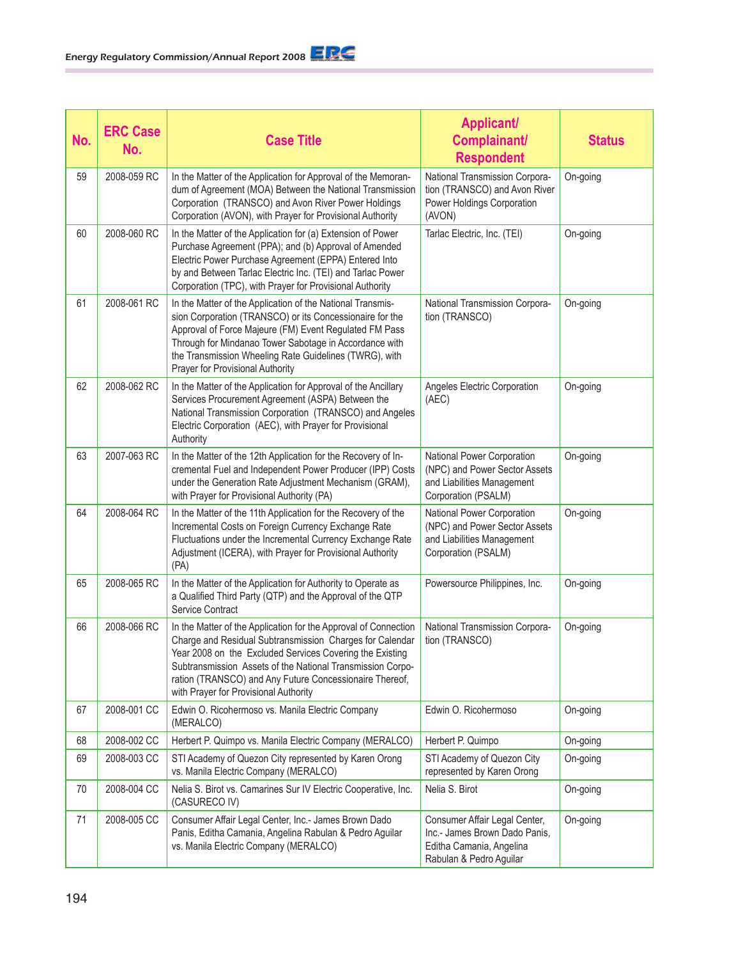| No. | <b>ERC Case</b><br>No. | <b>Case Title</b>                                                                                                                                                                                                                                                                                                                                         | <b>Applicant/</b><br>Complainant/<br><b>Respondent</b>                                                                | <b>Status</b> |
|-----|------------------------|-----------------------------------------------------------------------------------------------------------------------------------------------------------------------------------------------------------------------------------------------------------------------------------------------------------------------------------------------------------|-----------------------------------------------------------------------------------------------------------------------|---------------|
| 59  | 2008-059 RC            | In the Matter of the Application for Approval of the Memoran-<br>dum of Agreement (MOA) Between the National Transmission<br>Corporation (TRANSCO) and Avon River Power Holdings<br>Corporation (AVON), with Prayer for Provisional Authority                                                                                                             | National Transmission Corpora-<br>tion (TRANSCO) and Avon River<br>Power Holdings Corporation<br>(AVON)               | On-going      |
| 60  | 2008-060 RC            | In the Matter of the Application for (a) Extension of Power<br>Purchase Agreement (PPA); and (b) Approval of Amended<br>Electric Power Purchase Agreement (EPPA) Entered Into<br>by and Between Tarlac Electric Inc. (TEI) and Tarlac Power<br>Corporation (TPC), with Prayer for Provisional Authority                                                   | Tarlac Electric, Inc. (TEI)                                                                                           | On-going      |
| 61  | 2008-061 RC            | In the Matter of the Application of the National Transmis-<br>sion Corporation (TRANSCO) or its Concessionaire for the<br>Approval of Force Majeure (FM) Event Regulated FM Pass<br>Through for Mindanao Tower Sabotage in Accordance with<br>the Transmission Wheeling Rate Guidelines (TWRG), with<br>Prayer for Provisional Authority                  | National Transmission Corpora-<br>tion (TRANSCO)                                                                      | On-going      |
| 62  | 2008-062 RC            | In the Matter of the Application for Approval of the Ancillary<br>Services Procurement Agreement (ASPA) Between the<br>National Transmission Corporation (TRANSCO) and Angeles<br>Electric Corporation (AEC), with Prayer for Provisional<br>Authority                                                                                                    | Angeles Electric Corporation<br>(AEC)                                                                                 | On-going      |
| 63  | 2007-063 RC            | In the Matter of the 12th Application for the Recovery of In-<br>cremental Fuel and Independent Power Producer (IPP) Costs<br>under the Generation Rate Adjustment Mechanism (GRAM),<br>with Prayer for Provisional Authority (PA)                                                                                                                        | National Power Corporation<br>(NPC) and Power Sector Assets<br>and Liabilities Management<br>Corporation (PSALM)      | On-going      |
| 64  | 2008-064 RC            | In the Matter of the 11th Application for the Recovery of the<br>Incremental Costs on Foreign Currency Exchange Rate<br>Fluctuations under the Incremental Currency Exchange Rate<br>Adjustment (ICERA), with Prayer for Provisional Authority<br>(PA)                                                                                                    | National Power Corporation<br>(NPC) and Power Sector Assets<br>and Liabilities Management<br>Corporation (PSALM)      | On-going      |
| 65  | 2008-065 RC            | In the Matter of the Application for Authority to Operate as<br>a Qualified Third Party (QTP) and the Approval of the QTP<br>Service Contract                                                                                                                                                                                                             | Powersource Philippines, Inc.                                                                                         | On-going      |
| 66  | 2008-066 RC            | In the Matter of the Application for the Approval of Connection<br>Charge and Residual Subtransmission Charges for Calendar<br>Year 2008 on the Excluded Services Covering the Existing<br>Subtransmission Assets of the National Transmission Corpo-<br>ration (TRANSCO) and Any Future Concessionaire Thereof,<br>with Prayer for Provisional Authority | National Transmission Corpora-<br>tion (TRANSCO)                                                                      | On-going      |
| 67  | 2008-001 CC            | Edwin O. Ricohermoso vs. Manila Electric Company<br>(MERALCO)                                                                                                                                                                                                                                                                                             | Edwin O. Ricohermoso                                                                                                  | On-going      |
| 68  | 2008-002 CC            | Herbert P. Quimpo vs. Manila Electric Company (MERALCO)                                                                                                                                                                                                                                                                                                   | Herbert P. Quimpo                                                                                                     | On-going      |
| 69  | 2008-003 CC            | STI Academy of Quezon City represented by Karen Orong<br>vs. Manila Electric Company (MERALCO)                                                                                                                                                                                                                                                            | STI Academy of Quezon City<br>represented by Karen Orong                                                              | On-going      |
| 70  | 2008-004 CC            | Nelia S. Birot vs. Camarines Sur IV Electric Cooperative, Inc.<br>(CASURECO IV)                                                                                                                                                                                                                                                                           | Nelia S. Birot                                                                                                        | On-going      |
| 71  | 2008-005 CC            | Consumer Affair Legal Center, Inc.- James Brown Dado<br>Panis, Editha Camania, Angelina Rabulan & Pedro Aguilar<br>vs. Manila Electric Company (MERALCO)                                                                                                                                                                                                  | Consumer Affair Legal Center,<br>Inc.- James Brown Dado Panis,<br>Editha Camania, Angelina<br>Rabulan & Pedro Aguilar | On-going      |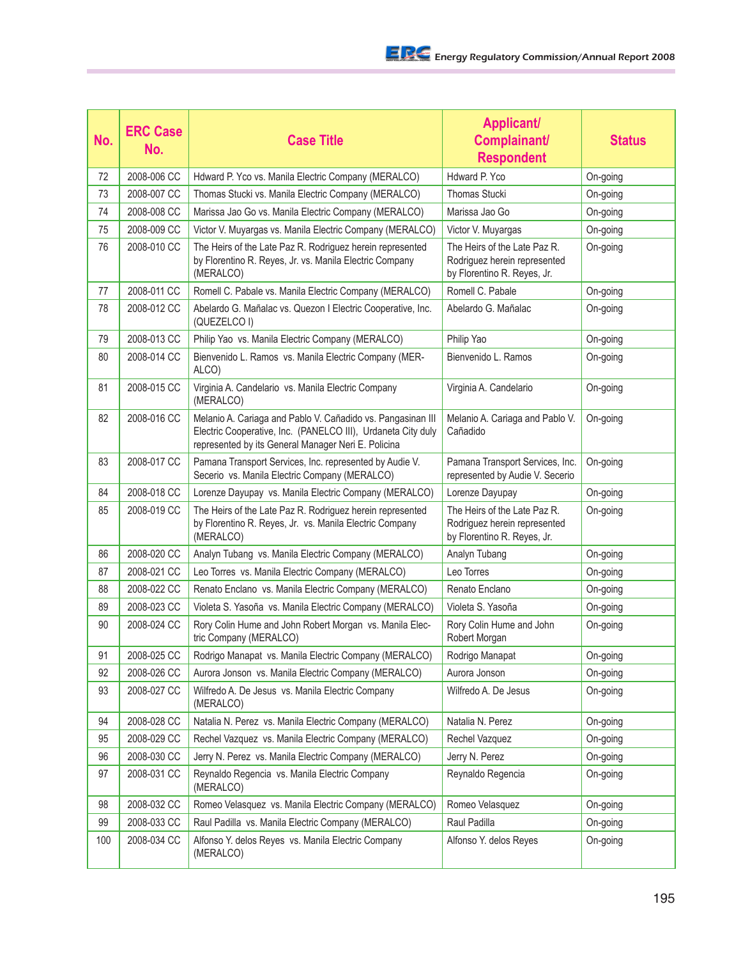| No. | <b>ERC Case</b><br>No. | <b>Case Title</b>                                                                                                                                                                  | <b>Applicant/</b><br>Complainant/<br><b>Respondent</b>                                      | <b>Status</b> |
|-----|------------------------|------------------------------------------------------------------------------------------------------------------------------------------------------------------------------------|---------------------------------------------------------------------------------------------|---------------|
| 72  | 2008-006 CC            | Hdward P. Yco vs. Manila Electric Company (MERALCO)                                                                                                                                | Hdward P. Yco                                                                               | On-going      |
| 73  | 2008-007 CC            | Thomas Stucki vs. Manila Electric Company (MERALCO)                                                                                                                                | <b>Thomas Stucki</b>                                                                        | On-going      |
| 74  | 2008-008 CC            | Marissa Jao Go vs. Manila Electric Company (MERALCO)                                                                                                                               | Marissa Jao Go                                                                              | On-going      |
| 75  | 2008-009 CC            | Victor V. Muyargas vs. Manila Electric Company (MERALCO)                                                                                                                           | Victor V. Muyargas                                                                          | On-going      |
| 76  | 2008-010 CC            | The Heirs of the Late Paz R. Rodriguez herein represented<br>by Florentino R. Reyes, Jr. vs. Manila Electric Company<br>(MERALCO)                                                  | The Heirs of the Late Paz R.<br>Rodriguez herein represented<br>by Florentino R. Reyes, Jr. | On-going      |
| 77  | 2008-011 CC            | Romell C. Pabale vs. Manila Electric Company (MERALCO)                                                                                                                             | Romell C. Pabale                                                                            | On-going      |
| 78  | 2008-012 CC            | Abelardo G. Mañalac vs. Quezon I Electric Cooperative, Inc.<br>(QUEZELCO I)                                                                                                        | Abelardo G. Mañalac                                                                         | On-going      |
| 79  | 2008-013 CC            | Philip Yao vs. Manila Electric Company (MERALCO)                                                                                                                                   | Philip Yao                                                                                  | On-going      |
| 80  | 2008-014 CC            | Bienvenido L. Ramos vs. Manila Electric Company (MER-<br>ALCO)                                                                                                                     | Bienvenido L. Ramos                                                                         | On-going      |
| 81  | 2008-015 CC            | Virginia A. Candelario vs. Manila Electric Company<br>(MERALCO)                                                                                                                    | Virginia A. Candelario                                                                      | On-going      |
| 82  | 2008-016 CC            | Melanio A. Cariaga and Pablo V. Cañadido vs. Pangasinan III<br>Electric Cooperative, Inc. (PANELCO III), Urdaneta City duly<br>represented by its General Manager Neri E. Policina | Melanio A. Cariaga and Pablo V.<br>Cañadido                                                 | On-going      |
| 83  | 2008-017 CC            | Pamana Transport Services, Inc. represented by Audie V.<br>Secerio vs. Manila Electric Company (MERALCO)                                                                           | Pamana Transport Services, Inc.<br>represented by Audie V. Secerio                          | On-going      |
| 84  | 2008-018 CC            | Lorenze Dayupay vs. Manila Electric Company (MERALCO)                                                                                                                              | Lorenze Dayupay                                                                             | On-going      |
| 85  | 2008-019 CC            | The Heirs of the Late Paz R. Rodriguez herein represented<br>by Florentino R. Reyes, Jr. vs. Manila Electric Company<br>(MERALCO)                                                  | The Heirs of the Late Paz R.<br>Rodriguez herein represented<br>by Florentino R. Reyes, Jr. | On-going      |
| 86  | 2008-020 CC            | Analyn Tubang vs. Manila Electric Company (MERALCO)                                                                                                                                | Analyn Tubang                                                                               | On-going      |
| 87  | 2008-021 CC            | Leo Torres vs. Manila Electric Company (MERALCO)                                                                                                                                   | Leo Torres                                                                                  | On-going      |
| 88  | 2008-022 CC            | Renato Enclano vs. Manila Electric Company (MERALCO)                                                                                                                               | Renato Enclano                                                                              | On-going      |
| 89  | 2008-023 CC            | Violeta S. Yasoña vs. Manila Electric Company (MERALCO)                                                                                                                            | Violeta S. Yasoña                                                                           | On-going      |
| 90  | 2008-024 CC            | Rory Colin Hume and John Robert Morgan vs. Manila Elec-<br>tric Company (MERALCO)                                                                                                  | Rory Colin Hume and John<br>Robert Morgan                                                   | On-going      |
| 91  | 2008-025 CC            | Rodrigo Manapat vs. Manila Electric Company (MERALCO)                                                                                                                              | Rodrigo Manapat                                                                             | On-going      |
| 92  | 2008-026 CC            | Aurora Jonson vs. Manila Electric Company (MERALCO)                                                                                                                                | Aurora Jonson                                                                               | On-going      |
| 93  | 2008-027 CC            | Wilfredo A. De Jesus vs. Manila Electric Company<br>(MERALCO)                                                                                                                      | Wilfredo A. De Jesus                                                                        | On-going      |
| 94  | 2008-028 CC            | Natalia N. Perez vs. Manila Electric Company (MERALCO)                                                                                                                             | Natalia N. Perez                                                                            | On-going      |
| 95  | 2008-029 CC            | Rechel Vazquez vs. Manila Electric Company (MERALCO)                                                                                                                               | Rechel Vazquez                                                                              | On-going      |
| 96  | 2008-030 CC            | Jerry N. Perez vs. Manila Electric Company (MERALCO)                                                                                                                               | Jerry N. Perez                                                                              | On-going      |
| 97  | 2008-031 CC            | Reynaldo Regencia vs. Manila Electric Company<br>(MERALCO)                                                                                                                         | Reynaldo Regencia                                                                           | On-going      |
| 98  | 2008-032 CC            | Romeo Velasquez vs. Manila Electric Company (MERALCO)                                                                                                                              | Romeo Velasquez                                                                             | On-going      |
| 99  | 2008-033 CC            | Raul Padilla vs. Manila Electric Company (MERALCO)                                                                                                                                 | Raul Padilla                                                                                | On-going      |
| 100 | 2008-034 CC            | Alfonso Y. delos Reyes vs. Manila Electric Company<br>(MERALCO)                                                                                                                    | Alfonso Y. delos Reyes                                                                      | On-going      |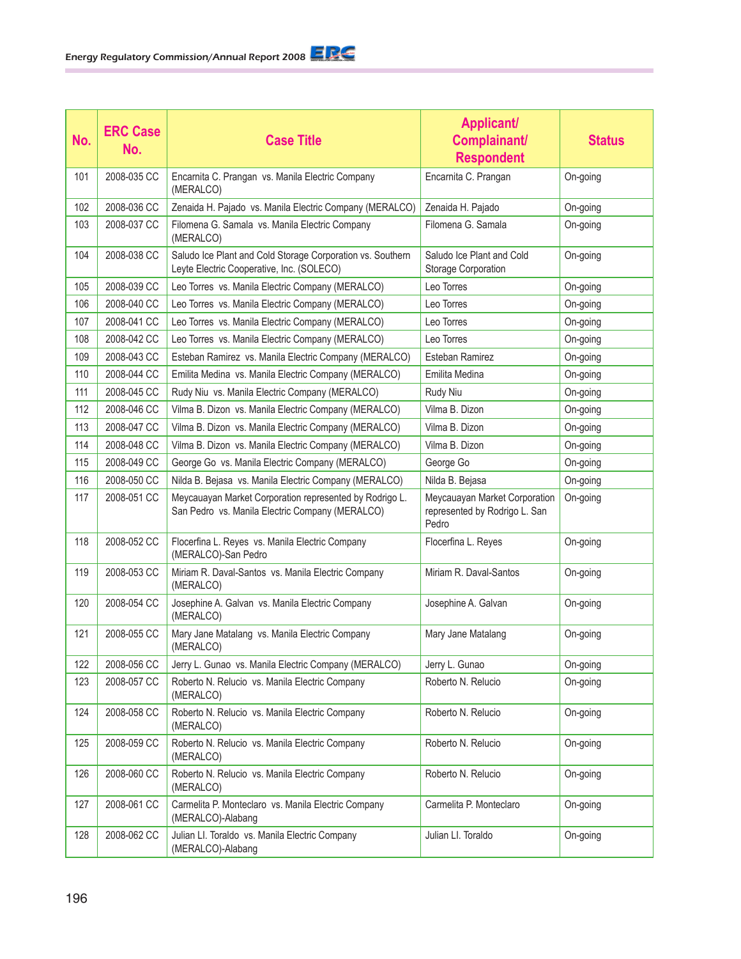| No. | <b>ERC Case</b><br>No. | <b>Case Title</b>                                                                                          | <b>Applicant/</b><br>Complainant/<br><b>Respondent</b>                  | <b>Status</b> |
|-----|------------------------|------------------------------------------------------------------------------------------------------------|-------------------------------------------------------------------------|---------------|
| 101 | 2008-035 CC            | Encarnita C. Prangan vs. Manila Electric Company<br>(MERALCO)                                              | Encarnita C. Prangan                                                    | On-going      |
| 102 | 2008-036 CC            | Zenaida H. Pajado vs. Manila Electric Company (MERALCO)                                                    | Zenaida H. Pajado                                                       | On-going      |
| 103 | 2008-037 CC            | Filomena G. Samala vs. Manila Electric Company<br>(MERALCO)                                                | Filomena G. Samala                                                      | On-going      |
| 104 | 2008-038 CC            | Saludo Ice Plant and Cold Storage Corporation vs. Southern<br>Leyte Electric Cooperative, Inc. (SOLECO)    | Saludo Ice Plant and Cold<br>Storage Corporation                        | On-going      |
| 105 | 2008-039 CC            | Leo Torres vs. Manila Electric Company (MERALCO)                                                           | Leo Torres                                                              | On-going      |
| 106 | 2008-040 CC            | Leo Torres vs. Manila Electric Company (MERALCO)                                                           | Leo Torres                                                              | On-going      |
| 107 | 2008-041 CC            | Leo Torres vs. Manila Electric Company (MERALCO)                                                           | Leo Torres                                                              | On-going      |
| 108 | 2008-042 CC            | Leo Torres vs. Manila Electric Company (MERALCO)                                                           | Leo Torres                                                              | On-going      |
| 109 | 2008-043 CC            | Esteban Ramirez vs. Manila Electric Company (MERALCO)                                                      | Esteban Ramirez                                                         | On-going      |
| 110 | 2008-044 CC            | Emilita Medina vs. Manila Electric Company (MERALCO)                                                       | Emilita Medina                                                          | On-going      |
| 111 | 2008-045 CC            | Rudy Niu vs. Manila Electric Company (MERALCO)                                                             | Rudy Niu                                                                | On-going      |
| 112 | 2008-046 CC            | Vilma B. Dizon vs. Manila Electric Company (MERALCO)                                                       | Vilma B. Dizon                                                          | On-going      |
| 113 | 2008-047 CC            | Vilma B. Dizon vs. Manila Electric Company (MERALCO)                                                       | Vilma B. Dizon                                                          | On-going      |
| 114 | 2008-048 CC            | Vilma B. Dizon vs. Manila Electric Company (MERALCO)                                                       | Vilma B. Dizon                                                          | On-going      |
| 115 | 2008-049 CC            | George Go vs. Manila Electric Company (MERALCO)                                                            | George Go                                                               | On-going      |
| 116 | 2008-050 CC            | Nilda B. Bejasa vs. Manila Electric Company (MERALCO)                                                      | Nilda B. Bejasa                                                         | On-going      |
| 117 | 2008-051 CC            | Meycauayan Market Corporation represented by Rodrigo L.<br>San Pedro vs. Manila Electric Company (MERALCO) | Meycauayan Market Corporation<br>represented by Rodrigo L. San<br>Pedro | On-going      |
| 118 | 2008-052 CC            | Flocerfina L. Reyes vs. Manila Electric Company<br>(MERALCO)-San Pedro                                     | Flocerfina L. Reyes                                                     | On-going      |
| 119 | 2008-053 CC            | Miriam R. Daval-Santos vs. Manila Electric Company<br>(MERALCO)                                            | Miriam R. Daval-Santos                                                  | On-going      |
| 120 | 2008-054 CC            | Josephine A. Galvan vs. Manila Electric Company<br>(MERALCO)                                               | Josephine A. Galvan                                                     | On-going      |
| 121 | 2008-055 CC            | Mary Jane Matalang vs. Manila Electric Company<br>(MERALCO)                                                | Mary Jane Matalang                                                      | On-going      |
| 122 | 2008-056 CC            | Jerry L. Gunao vs. Manila Electric Company (MERALCO)                                                       | Jerry L. Gunao                                                          | On-going      |
| 123 | 2008-057 CC            | Roberto N. Relucio vs. Manila Electric Company<br>(MERALCO)                                                | Roberto N. Relucio                                                      | On-going      |
| 124 | 2008-058 CC            | Roberto N. Relucio vs. Manila Electric Company<br>(MERALCO)                                                | Roberto N. Relucio                                                      | On-going      |
| 125 | 2008-059 CC            | Roberto N. Relucio vs. Manila Electric Company<br>(MERALCO)                                                | Roberto N. Relucio                                                      | On-going      |
| 126 | 2008-060 CC            | Roberto N. Relucio vs. Manila Electric Company<br>(MERALCO)                                                | Roberto N. Relucio                                                      | On-going      |
| 127 | 2008-061 CC            | Carmelita P. Monteclaro vs. Manila Electric Company<br>(MERALCO)-Alabang                                   | Carmelita P. Monteclaro                                                 | On-going      |
| 128 | 2008-062 CC            | Julian LI. Toraldo vs. Manila Electric Company<br>(MERALCO)-Alabang                                        | Julian LI. Toraldo                                                      | On-going      |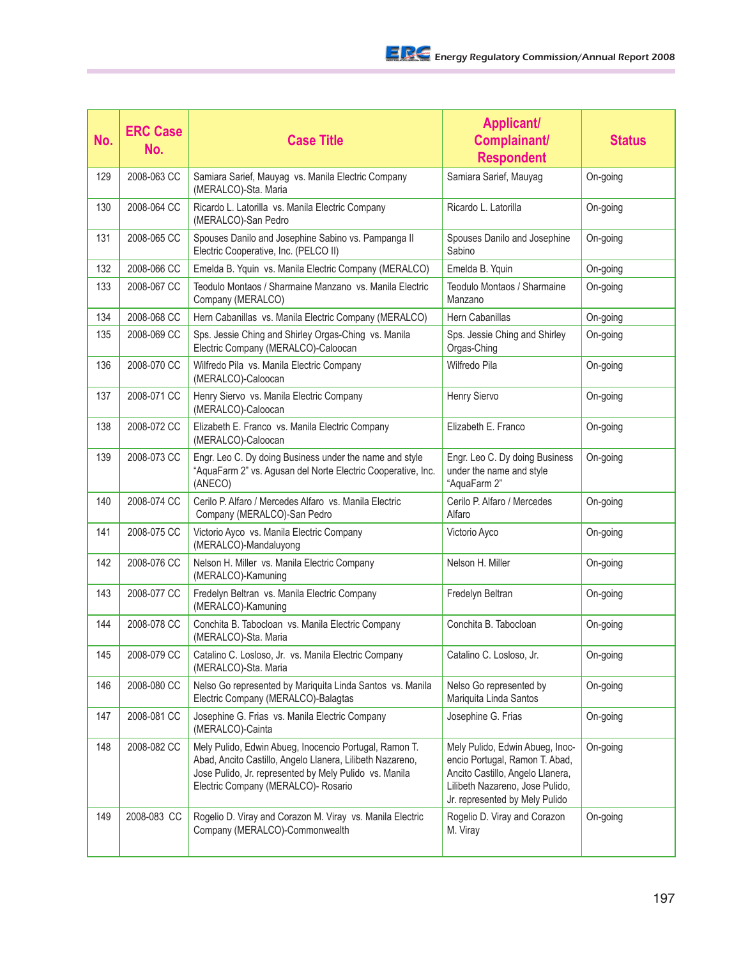| No. | <b>ERC Case</b><br>No. | <b>Case Title</b>                                                                                                                                                                                                    | <b>Applicant/</b><br><b>Complainant/</b><br><b>Respondent</b>                                                                                                              | <b>Status</b> |
|-----|------------------------|----------------------------------------------------------------------------------------------------------------------------------------------------------------------------------------------------------------------|----------------------------------------------------------------------------------------------------------------------------------------------------------------------------|---------------|
| 129 | 2008-063 CC            | Samiara Sarief, Mauyag vs. Manila Electric Company<br>(MERALCO)-Sta. Maria                                                                                                                                           | Samiara Sarief, Mauyag                                                                                                                                                     | On-going      |
| 130 | 2008-064 CC            | Ricardo L. Latorilla vs. Manila Electric Company<br>(MERALCO)-San Pedro                                                                                                                                              | Ricardo L. Latorilla                                                                                                                                                       | On-going      |
| 131 | 2008-065 CC            | Spouses Danilo and Josephine Sabino vs. Pampanga II<br>Electric Cooperative, Inc. (PELCO II)                                                                                                                         | Spouses Danilo and Josephine<br>Sabino                                                                                                                                     | On-going      |
| 132 | 2008-066 CC            | Emelda B. Yquin vs. Manila Electric Company (MERALCO)                                                                                                                                                                | Emelda B. Yquin                                                                                                                                                            | On-going      |
| 133 | 2008-067 CC            | Teodulo Montaos / Sharmaine Manzano vs. Manila Electric<br>Company (MERALCO)                                                                                                                                         | Teodulo Montaos / Sharmaine<br>Manzano                                                                                                                                     | On-going      |
| 134 | 2008-068 CC            | Hern Cabanillas vs. Manila Electric Company (MERALCO)                                                                                                                                                                | Hern Cabanillas                                                                                                                                                            | On-going      |
| 135 | 2008-069 CC            | Sps. Jessie Ching and Shirley Orgas-Ching vs. Manila<br>Electric Company (MERALCO)-Caloocan                                                                                                                          | Sps. Jessie Ching and Shirley<br>Orgas-Ching                                                                                                                               | On-going      |
| 136 | 2008-070 CC            | Wilfredo Pila vs. Manila Electric Company<br>(MERALCO)-Caloocan                                                                                                                                                      | Wilfredo Pila                                                                                                                                                              | On-going      |
| 137 | 2008-071 CC            | Henry Siervo vs. Manila Electric Company<br>(MERALCO)-Caloocan                                                                                                                                                       | Henry Siervo                                                                                                                                                               | On-going      |
| 138 | 2008-072 CC            | Elizabeth E. Franco vs. Manila Electric Company<br>(MERALCO)-Caloocan                                                                                                                                                | Elizabeth E. Franco                                                                                                                                                        | On-going      |
| 139 | 2008-073 CC            | Engr. Leo C. Dy doing Business under the name and style<br>"AquaFarm 2" vs. Agusan del Norte Electric Cooperative, Inc.<br>(ANECO)                                                                                   | Engr. Leo C. Dy doing Business<br>under the name and style<br>"AquaFarm 2"                                                                                                 | On-going      |
| 140 | 2008-074 CC            | Cerilo P. Alfaro / Mercedes Alfaro vs. Manila Electric<br>Company (MERALCO)-San Pedro                                                                                                                                | Cerilo P. Alfaro / Mercedes<br>Alfaro                                                                                                                                      | On-going      |
| 141 | 2008-075 CC            | Victorio Ayco vs. Manila Electric Company<br>(MERALCO)-Mandaluyong                                                                                                                                                   | Victorio Ayco                                                                                                                                                              | On-going      |
| 142 | 2008-076 CC            | Nelson H. Miller vs. Manila Electric Company<br>(MERALCO)-Kamuning                                                                                                                                                   | Nelson H. Miller                                                                                                                                                           | On-going      |
| 143 | 2008-077 CC            | Fredelyn Beltran vs. Manila Electric Company<br>(MERALCO)-Kamuning                                                                                                                                                   | Fredelyn Beltran                                                                                                                                                           | On-going      |
| 144 | 2008-078 CC            | Conchita B. Tabocloan vs. Manila Electric Company<br>(MERALCO)-Sta. Maria                                                                                                                                            | Conchita B. Tabocloan                                                                                                                                                      | On-going      |
| 145 | 2008-079 CC            | Catalino C. Losloso, Jr. vs. Manila Electric Company<br>(MERALCO)-Sta. Maria                                                                                                                                         | Catalino C. Losloso, Jr.                                                                                                                                                   | On-going      |
| 146 | 2008-080 CC            | Nelso Go represented by Mariquita Linda Santos vs. Manila<br>Electric Company (MERALCO)-Balagtas                                                                                                                     | Nelso Go represented by<br>Mariquita Linda Santos                                                                                                                          | On-going      |
| 147 | 2008-081 CC            | Josephine G. Frias vs. Manila Electric Company<br>(MERALCO)-Cainta                                                                                                                                                   | Josephine G. Frias                                                                                                                                                         | On-going      |
| 148 | 2008-082 CC            | Mely Pulido, Edwin Abueg, Inocencio Portugal, Ramon T.<br>Abad, Ancito Castillo, Angelo Llanera, Lilibeth Nazareno,<br>Jose Pulido, Jr. represented by Mely Pulido vs. Manila<br>Electric Company (MERALCO)- Rosario | Mely Pulido, Edwin Abueg, Inoc-<br>encio Portugal, Ramon T. Abad,<br>Ancito Castillo, Angelo Llanera,<br>Lilibeth Nazareno, Jose Pulido,<br>Jr. represented by Mely Pulido | On-going      |
| 149 | 2008-083 CC            | Rogelio D. Viray and Corazon M. Viray vs. Manila Electric<br>Company (MERALCO)-Commonwealth                                                                                                                          | Rogelio D. Viray and Corazon<br>M. Viray                                                                                                                                   | On-going      |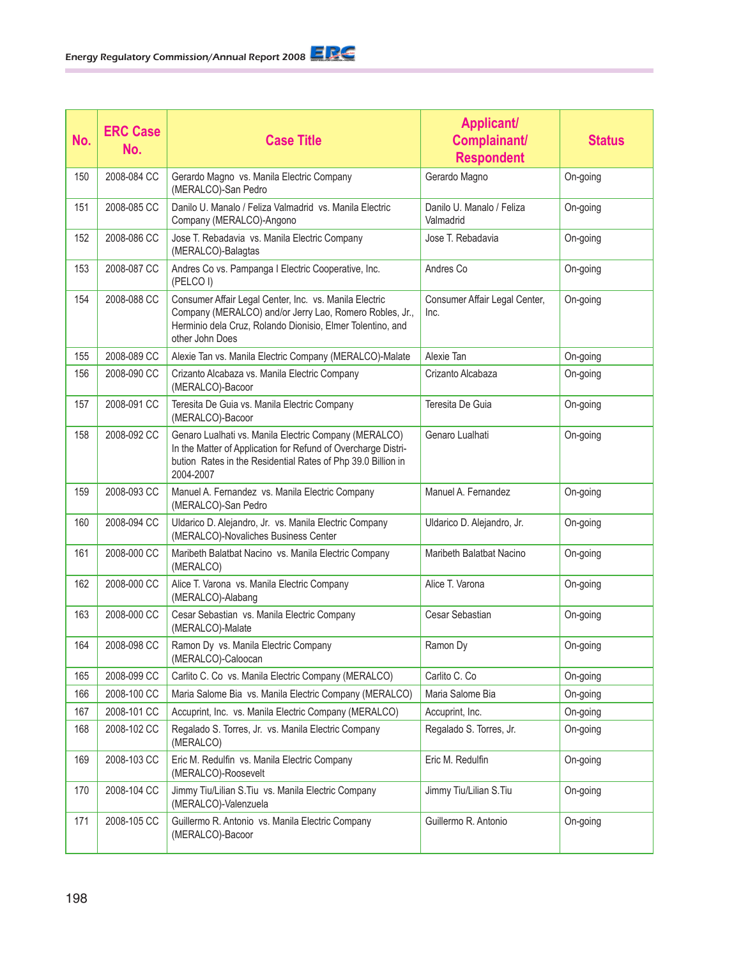| No. | <b>ERC Case</b><br>No. | <b>Case Title</b>                                                                                                                                                                                   | <b>Applicant/</b><br>Complainant/<br><b>Respondent</b> | <b>Status</b> |
|-----|------------------------|-----------------------------------------------------------------------------------------------------------------------------------------------------------------------------------------------------|--------------------------------------------------------|---------------|
| 150 | 2008-084 CC            | Gerardo Magno vs. Manila Electric Company<br>(MERALCO)-San Pedro                                                                                                                                    | Gerardo Magno                                          | On-going      |
| 151 | 2008-085 CC            | Danilo U. Manalo / Feliza Valmadrid vs. Manila Electric<br>Company (MERALCO)-Angono                                                                                                                 | Danilo U. Manalo / Feliza<br>Valmadrid                 | On-going      |
| 152 | 2008-086 CC            | Jose T. Rebadavia vs. Manila Electric Company<br>(MERALCO)-Balagtas                                                                                                                                 | Jose T. Rebadavia                                      | On-going      |
| 153 | 2008-087 CC            | Andres Co vs. Pampanga I Electric Cooperative, Inc.<br>(PELCO I)                                                                                                                                    | Andres Co                                              | On-going      |
| 154 | 2008-088 CC            | Consumer Affair Legal Center, Inc. vs. Manila Electric<br>Company (MERALCO) and/or Jerry Lao, Romero Robles, Jr.,<br>Herminio dela Cruz, Rolando Dionisio, Elmer Tolentino, and<br>other John Does  | Consumer Affair Legal Center,<br>Inc.                  | On-going      |
| 155 | 2008-089 CC            | Alexie Tan vs. Manila Electric Company (MERALCO)-Malate                                                                                                                                             | Alexie Tan                                             | On-going      |
| 156 | 2008-090 CC            | Crizanto Alcabaza vs. Manila Electric Company<br>(MERALCO)-Bacoor                                                                                                                                   | Crizanto Alcabaza                                      | On-going      |
| 157 | 2008-091 CC            | Teresita De Guia vs. Manila Electric Company<br>(MERALCO)-Bacoor                                                                                                                                    | Teresita De Guia                                       | On-going      |
| 158 | 2008-092 CC            | Genaro Lualhati vs. Manila Electric Company (MERALCO)<br>In the Matter of Application for Refund of Overcharge Distri-<br>bution Rates in the Residential Rates of Php 39.0 Billion in<br>2004-2007 | Genaro Lualhati                                        | On-going      |
| 159 | 2008-093 CC            | Manuel A. Fernandez vs. Manila Electric Company<br>(MERALCO)-San Pedro                                                                                                                              | Manuel A. Fernandez                                    | On-going      |
| 160 | 2008-094 CC            | Uldarico D. Alejandro, Jr. vs. Manila Electric Company<br>(MERALCO)-Novaliches Business Center                                                                                                      | Uldarico D. Alejandro, Jr.                             | On-going      |
| 161 | 2008-000 CC            | Maribeth Balatbat Nacino vs. Manila Electric Company<br>(MERALCO)                                                                                                                                   | Maribeth Balatbat Nacino                               | On-going      |
| 162 | 2008-000 CC            | Alice T. Varona vs. Manila Electric Company<br>(MERALCO)-Alabang                                                                                                                                    | Alice T. Varona                                        | On-going      |
| 163 | 2008-000 CC            | Cesar Sebastian vs. Manila Electric Company<br>(MERALCO)-Malate                                                                                                                                     | Cesar Sebastian                                        | On-going      |
| 164 | 2008-098 CC            | Ramon Dy vs. Manila Electric Company<br>(MERALCO)-Caloocan                                                                                                                                          | Ramon Dy                                               | On-going      |
| 165 | 2008-099 CC            | Carlito C. Co vs. Manila Electric Company (MERALCO)                                                                                                                                                 | Carlito C. Co                                          | On-going      |
| 166 | 2008-100 CC            | Maria Salome Bia vs. Manila Electric Company (MERALCO)                                                                                                                                              | Maria Salome Bia                                       | On-going      |
| 167 | 2008-101 CC            | Accuprint, Inc. vs. Manila Electric Company (MERALCO)                                                                                                                                               | Accuprint, Inc.                                        | On-going      |
| 168 | 2008-102 CC            | Regalado S. Torres, Jr. vs. Manila Electric Company<br>(MERALCO)                                                                                                                                    | Regalado S. Torres, Jr.                                | On-going      |
| 169 | 2008-103 CC            | Eric M. Redulfin vs. Manila Electric Company<br>(MERALCO)-Roosevelt                                                                                                                                 | Eric M. Redulfin                                       | On-going      |
| 170 | 2008-104 CC            | Jimmy Tiu/Lilian S. Tiu vs. Manila Electric Company<br>(MERALCO)-Valenzuela                                                                                                                         | Jimmy Tiu/Lilian S.Tiu                                 | On-going      |
| 171 | 2008-105 CC            | Guillermo R. Antonio vs. Manila Electric Company<br>(MERALCO)-Bacoor                                                                                                                                | Guillermo R. Antonio                                   | On-going      |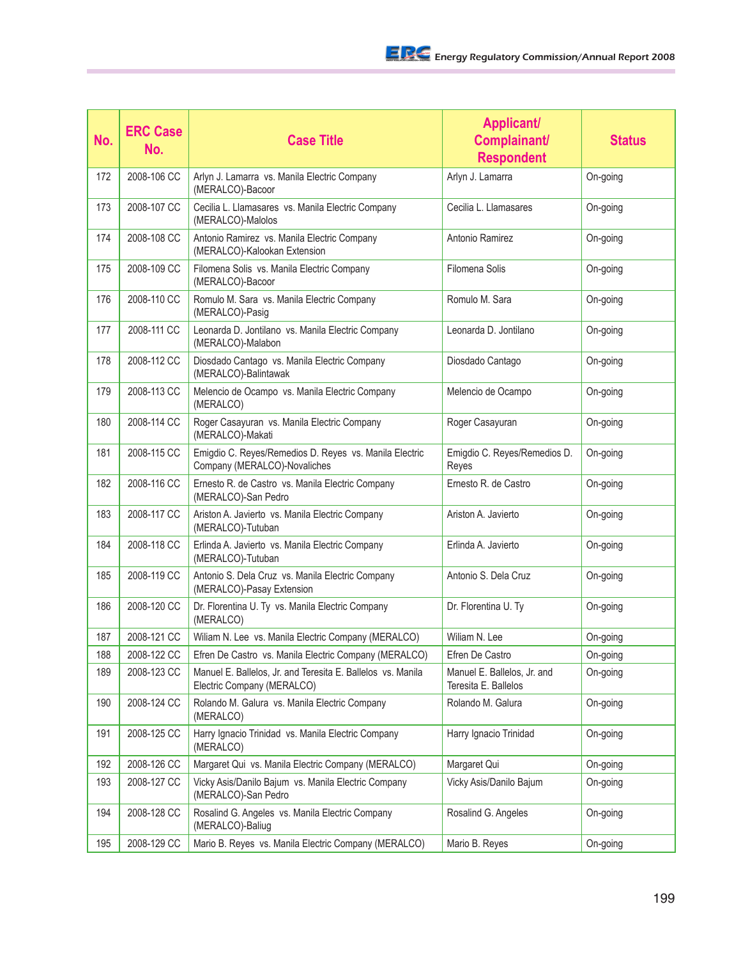| No. | <b>ERC Case</b><br>No. | <b>Case Title</b>                                                                         | <b>Applicant/</b><br>Complainant/<br><b>Respondent</b> | <b>Status</b> |
|-----|------------------------|-------------------------------------------------------------------------------------------|--------------------------------------------------------|---------------|
| 172 | 2008-106 CC            | Arlyn J. Lamarra vs. Manila Electric Company<br>(MERALCO)-Bacoor                          | Arlyn J. Lamarra                                       | On-going      |
| 173 | 2008-107 CC            | Cecilia L. Llamasares vs. Manila Electric Company<br>(MERALCO)-Malolos                    | Cecilia L. Llamasares                                  | On-going      |
| 174 | 2008-108 CC            | Antonio Ramirez vs. Manila Electric Company<br>(MERALCO)-Kalookan Extension               | Antonio Ramirez                                        | On-going      |
| 175 | 2008-109 CC            | Filomena Solis vs. Manila Electric Company<br>(MERALCO)-Bacoor                            | Filomena Solis                                         | On-going      |
| 176 | 2008-110 CC            | Romulo M. Sara vs. Manila Electric Company<br>(MERALCO)-Pasig                             | Romulo M. Sara                                         | On-going      |
| 177 | 2008-111 CC            | Leonarda D. Jontilano vs. Manila Electric Company<br>(MERALCO)-Malabon                    | Leonarda D. Jontilano                                  | On-going      |
| 178 | 2008-112 CC            | Diosdado Cantago vs. Manila Electric Company<br>(MERALCO)-Balintawak                      | Diosdado Cantago                                       | On-going      |
| 179 | 2008-113 CC            | Melencio de Ocampo vs. Manila Electric Company<br>(MERALCO)                               | Melencio de Ocampo                                     | On-going      |
| 180 | 2008-114 CC            | Roger Casayuran vs. Manila Electric Company<br>(MERALCO)-Makati                           | Roger Casayuran                                        | On-going      |
| 181 | 2008-115 CC            | Emigdio C. Reyes/Remedios D. Reyes vs. Manila Electric<br>Company (MERALCO)-Novaliches    | Emigdio C. Reyes/Remedios D.<br>Reyes                  | On-going      |
| 182 | 2008-116 CC            | Ernesto R. de Castro vs. Manila Electric Company<br>(MERALCO)-San Pedro                   | Ernesto R. de Castro                                   | On-going      |
| 183 | 2008-117 CC            | Ariston A. Javierto vs. Manila Electric Company<br>(MERALCO)-Tutuban                      | Ariston A. Javierto                                    | On-going      |
| 184 | 2008-118 CC            | Erlinda A. Javierto vs. Manila Electric Company<br>(MERALCO)-Tutuban                      | Erlinda A. Javierto                                    | On-going      |
| 185 | 2008-119 CC            | Antonio S. Dela Cruz vs. Manila Electric Company<br>(MERALCO)-Pasay Extension             | Antonio S. Dela Cruz                                   | On-going      |
| 186 | 2008-120 CC            | Dr. Florentina U. Ty vs. Manila Electric Company<br>(MERALCO)                             | Dr. Florentina U. Ty                                   | On-going      |
| 187 | 2008-121 CC            | Wiliam N. Lee vs. Manila Electric Company (MERALCO)                                       | Wiliam N. Lee                                          | On-going      |
| 188 | 2008-122 CC            | Efren De Castro vs. Manila Electric Company (MERALCO)                                     | Efren De Castro                                        | On-going      |
| 189 | 2008-123 CC            | Manuel E. Ballelos, Jr. and Teresita E. Ballelos vs. Manila<br>Electric Company (MERALCO) | Manuel E. Ballelos, Jr. and<br>Teresita E. Ballelos    | On-going      |
| 190 | 2008-124 CC            | Rolando M. Galura vs. Manila Electric Company<br>(MERALCO)                                | Rolando M. Galura                                      | On-going      |
| 191 | 2008-125 CC            | Harry Ignacio Trinidad vs. Manila Electric Company<br>(MERALCO)                           | Harry Ignacio Trinidad                                 | On-going      |
| 192 | 2008-126 CC            | Margaret Qui vs. Manila Electric Company (MERALCO)                                        | Margaret Qui                                           | On-going      |
| 193 | 2008-127 CC            | Vicky Asis/Danilo Bajum vs. Manila Electric Company<br>(MERALCO)-San Pedro                | Vicky Asis/Danilo Bajum                                | On-going      |
| 194 | 2008-128 CC            | Rosalind G. Angeles vs. Manila Electric Company<br>(MERALCO)-Baliug                       | Rosalind G. Angeles                                    | On-going      |
| 195 | 2008-129 CC            | Mario B. Reyes vs. Manila Electric Company (MERALCO)                                      | Mario B. Reyes                                         | On-going      |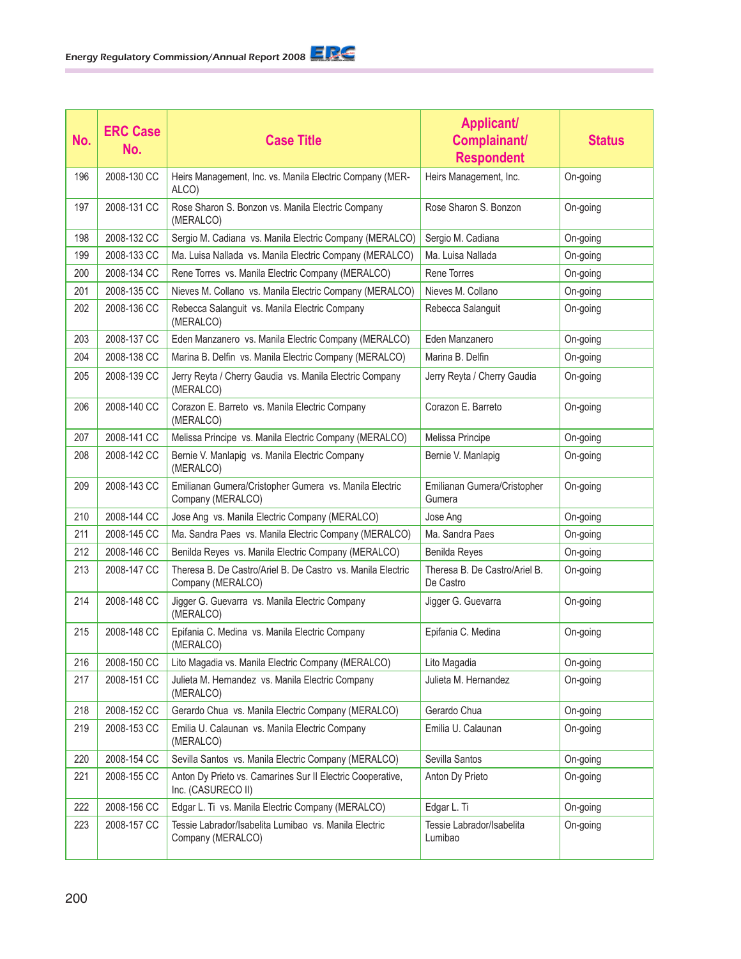| No. | <b>ERC Case</b><br>No. | <b>Case Title</b>                                                                | <b>Applicant/</b><br>Complainant/<br><b>Respondent</b> | <b>Status</b> |
|-----|------------------------|----------------------------------------------------------------------------------|--------------------------------------------------------|---------------|
| 196 | 2008-130 CC            | Heirs Management, Inc. vs. Manila Electric Company (MER-<br>ALCO)                | Heirs Management, Inc.                                 | On-going      |
| 197 | 2008-131 CC            | Rose Sharon S. Bonzon vs. Manila Electric Company<br>(MERALCO)                   | Rose Sharon S. Bonzon                                  | On-going      |
| 198 | 2008-132 CC            | Sergio M. Cadiana vs. Manila Electric Company (MERALCO)                          | Sergio M. Cadiana                                      | On-going      |
| 199 | 2008-133 CC            | Ma. Luisa Nallada vs. Manila Electric Company (MERALCO)                          | Ma. Luisa Nallada                                      | On-going      |
| 200 | 2008-134 CC            | Rene Torres vs. Manila Electric Company (MERALCO)                                | Rene Torres                                            | On-going      |
| 201 | 2008-135 CC            | Nieves M. Collano vs. Manila Electric Company (MERALCO)                          | Nieves M. Collano                                      | On-going      |
| 202 | 2008-136 CC            | Rebecca Salanguit vs. Manila Electric Company<br>(MERALCO)                       | Rebecca Salanguit                                      | On-going      |
| 203 | 2008-137 CC            | Eden Manzanero vs. Manila Electric Company (MERALCO)                             | Eden Manzanero                                         | On-going      |
| 204 | 2008-138 CC            | Marina B. Delfin vs. Manila Electric Company (MERALCO)                           | Marina B. Delfin                                       | On-going      |
| 205 | 2008-139 CC            | Jerry Reyta / Cherry Gaudia vs. Manila Electric Company<br>(MERALCO)             | Jerry Reyta / Cherry Gaudia                            | On-going      |
| 206 | 2008-140 CC            | Corazon E. Barreto vs. Manila Electric Company<br>(MERALCO)                      | Corazon E. Barreto                                     | On-going      |
| 207 | 2008-141 CC            | Melissa Principe vs. Manila Electric Company (MERALCO)                           | Melissa Principe                                       | On-going      |
| 208 | 2008-142 CC            | Bernie V. Manlapig vs. Manila Electric Company<br>(MERALCO)                      | Bernie V. Manlapig                                     | On-going      |
| 209 | 2008-143 CC            | Emilianan Gumera/Cristopher Gumera vs. Manila Electric<br>Company (MERALCO)      | Emilianan Gumera/Cristopher<br>Gumera                  | On-going      |
| 210 | 2008-144 CC            | Jose Ang vs. Manila Electric Company (MERALCO)                                   | Jose Ang                                               | On-going      |
| 211 | 2008-145 CC            | Ma. Sandra Paes vs. Manila Electric Company (MERALCO)                            | Ma. Sandra Paes                                        | On-going      |
| 212 | 2008-146 CC            | Benilda Reyes vs. Manila Electric Company (MERALCO)                              | Benilda Reyes                                          | On-going      |
| 213 | 2008-147 CC            | Theresa B. De Castro/Ariel B. De Castro vs. Manila Electric<br>Company (MERALCO) | Theresa B. De Castro/Ariel B.<br>De Castro             | On-going      |
| 214 | 2008-148 CC            | Jigger G. Guevarra vs. Manila Electric Company<br>(MERALCO)                      | Jigger G. Guevarra                                     | On-going      |
| 215 | 2008-148 CC            | Epifania C. Medina vs. Manila Electric Company<br>(MERALCO)                      | Epifania C. Medina                                     | On-going      |
| 216 | 2008-150 CC            | Lito Magadia vs. Manila Electric Company (MERALCO)                               | Lito Magadia                                           | On-going      |
| 217 | 2008-151 CC            | Julieta M. Hernandez vs. Manila Electric Company<br>(MERALCO)                    | Julieta M. Hernandez                                   | On-going      |
| 218 | 2008-152 CC            | Gerardo Chua vs. Manila Electric Company (MERALCO)                               | Gerardo Chua                                           | On-going      |
| 219 | 2008-153 CC            | Emilia U. Calaunan vs. Manila Electric Company<br>(MERALCO)                      | Emilia U. Calaunan                                     | On-going      |
| 220 | 2008-154 CC            | Sevilla Santos vs. Manila Electric Company (MERALCO)                             | Sevilla Santos                                         | On-going      |
| 221 | 2008-155 CC            | Anton Dy Prieto vs. Camarines Sur II Electric Cooperative,<br>Inc. (CASURECO II) | Anton Dy Prieto                                        | On-going      |
| 222 | 2008-156 CC            | Edgar L. Ti vs. Manila Electric Company (MERALCO)                                | Edgar L. Ti                                            | On-going      |
| 223 | 2008-157 CC            | Tessie Labrador/Isabelita Lumibao vs. Manila Electric<br>Company (MERALCO)       | Tessie Labrador/Isabelita<br>Lumibao                   | On-going      |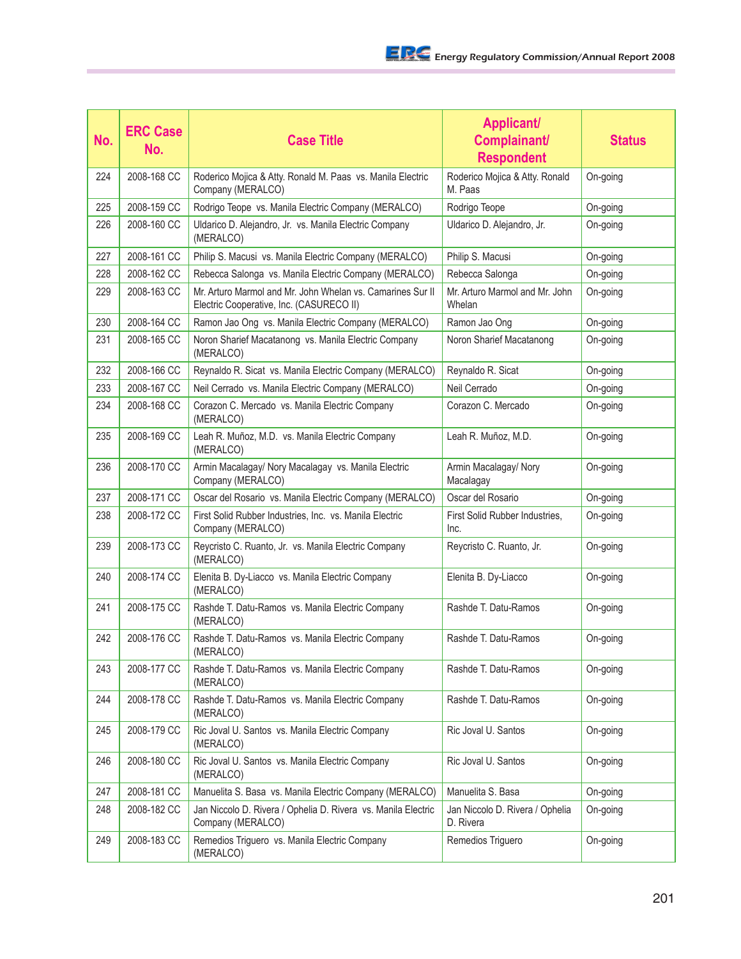| No. | <b>ERC Case</b><br>No. | <b>Case Title</b>                                                                                      | <b>Applicant/</b><br>Complainant/<br><b>Respondent</b> | <b>Status</b> |
|-----|------------------------|--------------------------------------------------------------------------------------------------------|--------------------------------------------------------|---------------|
| 224 | 2008-168 CC            | Roderico Mojica & Atty. Ronald M. Paas vs. Manila Electric<br>Company (MERALCO)                        | Roderico Mojica & Atty. Ronald<br>M. Paas              | On-going      |
| 225 | 2008-159 CC            | Rodrigo Teope vs. Manila Electric Company (MERALCO)                                                    | Rodrigo Teope                                          | On-going      |
| 226 | 2008-160 CC            | Uldarico D. Alejandro, Jr. vs. Manila Electric Company<br>(MERALCO)                                    | Uldarico D. Alejandro, Jr.                             | On-going      |
| 227 | 2008-161 CC            | Philip S. Macusi vs. Manila Electric Company (MERALCO)                                                 | Philip S. Macusi                                       | On-going      |
| 228 | 2008-162 CC            | Rebecca Salonga vs. Manila Electric Company (MERALCO)                                                  | Rebecca Salonga                                        | On-going      |
| 229 | 2008-163 CC            | Mr. Arturo Marmol and Mr. John Whelan vs. Camarines Sur II<br>Electric Cooperative, Inc. (CASURECO II) | Mr. Arturo Marmol and Mr. John<br>Whelan               | On-going      |
| 230 | 2008-164 CC            | Ramon Jao Ong vs. Manila Electric Company (MERALCO)                                                    | Ramon Jao Ong                                          | On-going      |
| 231 | 2008-165 CC            | Noron Sharief Macatanong vs. Manila Electric Company<br>(MERALCO)                                      | Noron Sharief Macatanong                               | On-going      |
| 232 | 2008-166 CC            | Reynaldo R. Sicat vs. Manila Electric Company (MERALCO)                                                | Reynaldo R. Sicat                                      | On-going      |
| 233 | 2008-167 CC            | Neil Cerrado vs. Manila Electric Company (MERALCO)                                                     | Neil Cerrado                                           | On-going      |
| 234 | 2008-168 CC            | Corazon C. Mercado vs. Manila Electric Company<br>(MERALCO)                                            | Corazon C. Mercado                                     | On-going      |
| 235 | 2008-169 CC            | Leah R. Muñoz, M.D. vs. Manila Electric Company<br>(MERALCO)                                           | Leah R. Muñoz, M.D.                                    | On-going      |
| 236 | 2008-170 CC            | Armin Macalagay/ Nory Macalagay vs. Manila Electric<br>Company (MERALCO)                               | Armin Macalagay/ Nory<br>Macalagay                     | On-going      |
| 237 | 2008-171 CC            | Oscar del Rosario vs. Manila Electric Company (MERALCO)                                                | Oscar del Rosario                                      | On-going      |
| 238 | 2008-172 CC            | First Solid Rubber Industries, Inc. vs. Manila Electric<br>Company (MERALCO)                           | First Solid Rubber Industries,<br>Inc.                 | On-going      |
| 239 | 2008-173 CC            | Reycristo C. Ruanto, Jr. vs. Manila Electric Company<br>(MERALCO)                                      | Reycristo C. Ruanto, Jr.                               | On-going      |
| 240 | 2008-174 CC            | Elenita B. Dy-Liacco vs. Manila Electric Company<br>(MERALCO)                                          | Elenita B. Dy-Liacco                                   | On-going      |
| 241 | 2008-175 CC            | Rashde T. Datu-Ramos vs. Manila Electric Company<br>(MERALCO)                                          | Rashde T. Datu-Ramos                                   | On-going      |
| 242 | 2008-176 CC            | Rashde T. Datu-Ramos vs. Manila Electric Company<br>(MERALCO)                                          | Rashde T. Datu-Ramos                                   | On-going      |
| 243 | 2008-177 CC            | Rashde T. Datu-Ramos vs. Manila Electric Company<br>(MERALCO)                                          | Rashde T. Datu-Ramos                                   | On-going      |
| 244 | 2008-178 CC            | Rashde T. Datu-Ramos vs. Manila Electric Company<br>(MERALCO)                                          | Rashde T. Datu-Ramos                                   | On-going      |
| 245 | 2008-179 CC            | Ric Joval U. Santos vs. Manila Electric Company<br>(MERALCO)                                           | Ric Joval U. Santos                                    | On-going      |
| 246 | 2008-180 CC            | Ric Joval U. Santos vs. Manila Electric Company<br>(MERALCO)                                           | Ric Joval U. Santos                                    | On-going      |
| 247 | 2008-181 CC            | Manuelita S. Basa vs. Manila Electric Company (MERALCO)                                                | Manuelita S. Basa                                      | On-going      |
| 248 | 2008-182 CC            | Jan Niccolo D. Rivera / Ophelia D. Rivera vs. Manila Electric<br>Company (MERALCO)                     | Jan Niccolo D. Rivera / Ophelia<br>D. Rivera           | On-going      |
| 249 | 2008-183 CC            | Remedios Triguero vs. Manila Electric Company<br>(MERALCO)                                             | Remedios Triguero                                      | On-going      |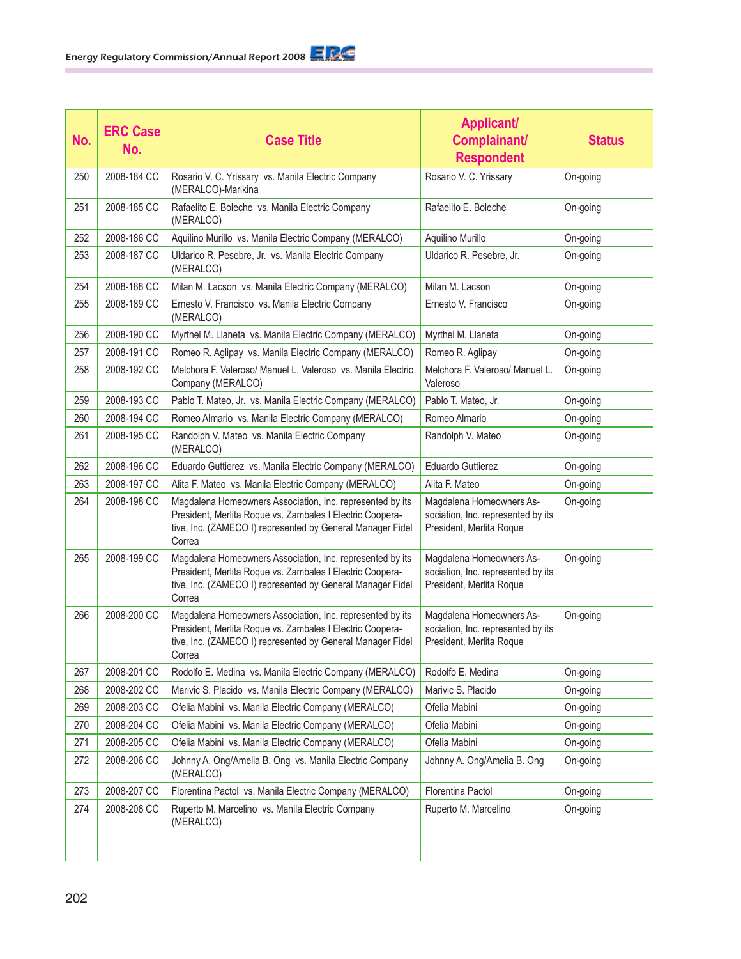| No. | <b>ERC Case</b><br>No. | <b>Case Title</b>                                                                                                                                                                              | <b>Applicant/</b><br>Complainant/<br><b>Respondent</b>                                     | <b>Status</b> |
|-----|------------------------|------------------------------------------------------------------------------------------------------------------------------------------------------------------------------------------------|--------------------------------------------------------------------------------------------|---------------|
| 250 | 2008-184 CC            | Rosario V. C. Yrissary vs. Manila Electric Company<br>(MERALCO)-Marikina                                                                                                                       | Rosario V. C. Yrissary                                                                     | On-going      |
| 251 | 2008-185 CC            | Rafaelito E. Boleche vs. Manila Electric Company<br>(MERALCO)                                                                                                                                  | Rafaelito E. Boleche                                                                       | On-going      |
| 252 | 2008-186 CC            | Aquilino Murillo vs. Manila Electric Company (MERALCO)                                                                                                                                         | Aquilino Murillo                                                                           | On-going      |
| 253 | 2008-187 CC            | Uldarico R. Pesebre, Jr. vs. Manila Electric Company<br>(MERALCO)                                                                                                                              | Uldarico R. Pesebre, Jr.                                                                   | On-going      |
| 254 | 2008-188 CC            | Milan M. Lacson vs. Manila Electric Company (MERALCO)                                                                                                                                          | Milan M. Lacson                                                                            | On-going      |
| 255 | 2008-189 CC            | Ernesto V. Francisco vs. Manila Electric Company<br>(MERALCO)                                                                                                                                  | Ernesto V. Francisco                                                                       | On-going      |
| 256 | 2008-190 CC            | Myrthel M. Llaneta vs. Manila Electric Company (MERALCO)                                                                                                                                       | Myrthel M. Llaneta                                                                         | On-going      |
| 257 | 2008-191 CC            | Romeo R. Aglipay vs. Manila Electric Company (MERALCO)                                                                                                                                         | Romeo R. Aglipay                                                                           | On-going      |
| 258 | 2008-192 CC            | Melchora F. Valeroso/ Manuel L. Valeroso vs. Manila Electric<br>Company (MERALCO)                                                                                                              | Melchora F. Valeroso/ Manuel L.<br>Valeroso                                                | On-going      |
| 259 | 2008-193 CC            | Pablo T. Mateo, Jr. vs. Manila Electric Company (MERALCO)                                                                                                                                      | Pablo T. Mateo, Jr.                                                                        | On-going      |
| 260 | 2008-194 CC            | Romeo Almario vs. Manila Electric Company (MERALCO)                                                                                                                                            | Romeo Almario                                                                              | On-going      |
| 261 | 2008-195 CC            | Randolph V. Mateo vs. Manila Electric Company<br>(MERALCO)                                                                                                                                     | Randolph V. Mateo                                                                          | On-going      |
| 262 | 2008-196 CC            | Eduardo Guttierez vs. Manila Electric Company (MERALCO)                                                                                                                                        | <b>Eduardo Guttierez</b>                                                                   | On-going      |
| 263 | 2008-197 CC            | Alita F. Mateo vs. Manila Electric Company (MERALCO)                                                                                                                                           | Alita F. Mateo                                                                             | On-going      |
| 264 | 2008-198 CC            | Magdalena Homeowners Association, Inc. represented by its<br>President, Merlita Roque vs. Zambales I Electric Coopera-<br>tive, Inc. (ZAMECO I) represented by General Manager Fidel<br>Correa | Magdalena Homeowners As-<br>sociation, Inc. represented by its<br>President, Merlita Roque | On-going      |
| 265 | 2008-199 CC            | Magdalena Homeowners Association, Inc. represented by its<br>President, Merlita Roque vs. Zambales I Electric Coopera-<br>tive, Inc. (ZAMECO I) represented by General Manager Fidel<br>Correa | Magdalena Homeowners As-<br>sociation, Inc. represented by its<br>President, Merlita Roque | On-going      |
| 266 | 2008-200 CC            | Magdalena Homeowners Association, Inc. represented by its<br>President, Merlita Roque vs. Zambales I Electric Coopera-<br>tive, Inc. (ZAMECO I) represented by General Manager Fidel<br>Correa | Magdalena Homeowners As-<br>sociation, Inc. represented by its<br>President, Merlita Roque | On-going      |
| 267 | 2008-201 CC            | Rodolfo E. Medina vs. Manila Electric Company (MERALCO)                                                                                                                                        | Rodolfo E. Medina                                                                          | On-going      |
| 268 | 2008-202 CC            | Marivic S. Placido vs. Manila Electric Company (MERALCO)                                                                                                                                       | Marivic S. Placido                                                                         | On-going      |
| 269 | 2008-203 CC            | Ofelia Mabini vs. Manila Electric Company (MERALCO)                                                                                                                                            | Ofelia Mabini                                                                              | On-going      |
| 270 | 2008-204 CC            | Ofelia Mabini vs. Manila Electric Company (MERALCO)                                                                                                                                            | Ofelia Mabini                                                                              | On-going      |
| 271 | 2008-205 CC            | Ofelia Mabini vs. Manila Electric Company (MERALCO)                                                                                                                                            | Ofelia Mabini                                                                              | On-going      |
| 272 | 2008-206 CC            | Johnny A. Ong/Amelia B. Ong vs. Manila Electric Company<br>(MERALCO)                                                                                                                           | Johnny A. Ong/Amelia B. Ong                                                                | On-going      |
| 273 | 2008-207 CC            | Florentina Pactol vs. Manila Electric Company (MERALCO)                                                                                                                                        | Florentina Pactol                                                                          | On-going      |
| 274 | 2008-208 CC            | Ruperto M. Marcelino vs. Manila Electric Company<br>(MERALCO)                                                                                                                                  | Ruperto M. Marcelino                                                                       | On-going      |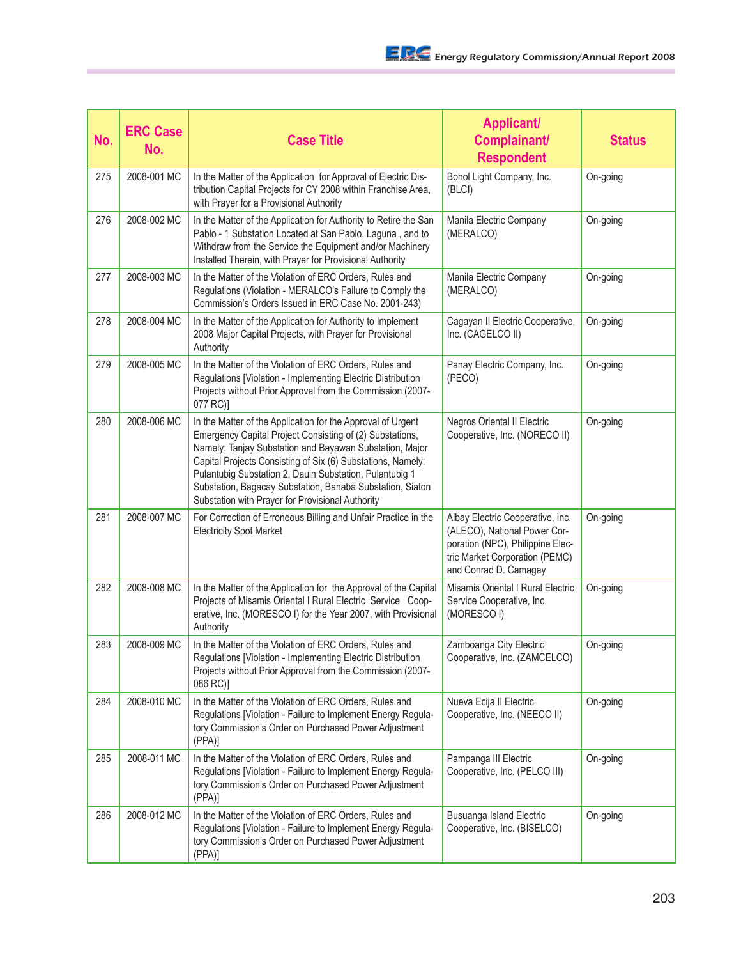| No. | <b>ERC Case</b><br>No. | <b>Case Title</b>                                                                                                                                                                                                                                                                                                                                                                                                             | <b>Applicant/</b><br>Complainant/<br><b>Respondent</b>                                                                                                          | <b>Status</b> |
|-----|------------------------|-------------------------------------------------------------------------------------------------------------------------------------------------------------------------------------------------------------------------------------------------------------------------------------------------------------------------------------------------------------------------------------------------------------------------------|-----------------------------------------------------------------------------------------------------------------------------------------------------------------|---------------|
| 275 | 2008-001 MC            | In the Matter of the Application for Approval of Electric Dis-<br>tribution Capital Projects for CY 2008 within Franchise Area,<br>with Prayer for a Provisional Authority                                                                                                                                                                                                                                                    | Bohol Light Company, Inc.<br>(BLCI)                                                                                                                             | On-going      |
| 276 | 2008-002 MC            | In the Matter of the Application for Authority to Retire the San<br>Pablo - 1 Substation Located at San Pablo, Laguna, and to<br>Withdraw from the Service the Equipment and/or Machinery<br>Installed Therein, with Prayer for Provisional Authority                                                                                                                                                                         | Manila Electric Company<br>(MERALCO)                                                                                                                            | On-going      |
| 277 | 2008-003 MC            | In the Matter of the Violation of ERC Orders, Rules and<br>Regulations (Violation - MERALCO's Failure to Comply the<br>Commission's Orders Issued in ERC Case No. 2001-243)                                                                                                                                                                                                                                                   | Manila Electric Company<br>(MERALCO)                                                                                                                            | On-going      |
| 278 | 2008-004 MC            | In the Matter of the Application for Authority to Implement<br>2008 Major Capital Projects, with Prayer for Provisional<br>Authority                                                                                                                                                                                                                                                                                          | Cagayan II Electric Cooperative,<br>Inc. (CAGELCO II)                                                                                                           | On-going      |
| 279 | 2008-005 MC            | In the Matter of the Violation of ERC Orders, Rules and<br>Regulations [Violation - Implementing Electric Distribution<br>Projects without Prior Approval from the Commission (2007-<br>077 RC)]                                                                                                                                                                                                                              | Panay Electric Company, Inc.<br>(PECO)                                                                                                                          | On-going      |
| 280 | 2008-006 MC            | In the Matter of the Application for the Approval of Urgent<br>Emergency Capital Project Consisting of (2) Substations,<br>Namely: Tanjay Substation and Bayawan Substation, Major<br>Capital Projects Consisting of Six (6) Substations, Namely:<br>Pulantubig Substation 2, Dauin Substation, Pulantubig 1<br>Substation, Bagacay Substation, Banaba Substation, Siaton<br>Substation with Prayer for Provisional Authority | Negros Oriental II Electric<br>Cooperative, Inc. (NORECO II)                                                                                                    | On-going      |
| 281 | 2008-007 MC            | For Correction of Erroneous Billing and Unfair Practice in the<br><b>Electricity Spot Market</b>                                                                                                                                                                                                                                                                                                                              | Albay Electric Cooperative, Inc.<br>(ALECO), National Power Cor-<br>poration (NPC), Philippine Elec-<br>tric Market Corporation (PEMC)<br>and Conrad D. Camagay | On-going      |
| 282 | 2008-008 MC            | In the Matter of the Application for the Approval of the Capital<br>Projects of Misamis Oriental I Rural Electric Service Coop-<br>erative, Inc. (MORESCO I) for the Year 2007, with Provisional<br>Authority                                                                                                                                                                                                                 | Misamis Oriental I Rural Electric<br>Service Cooperative, Inc.<br>(MORESCO I)                                                                                   | On-going      |
| 283 | 2008-009 MC            | In the Matter of the Violation of ERC Orders, Rules and<br>Regulations [Violation - Implementing Electric Distribution<br>Projects without Prior Approval from the Commission (2007-<br>086 RC)]                                                                                                                                                                                                                              | Zamboanga City Electric<br>Cooperative, Inc. (ZAMCELCO)                                                                                                         | On-going      |
| 284 | 2008-010 MC            | In the Matter of the Violation of ERC Orders, Rules and<br>Regulations [Violation - Failure to Implement Energy Regula-<br>tory Commission's Order on Purchased Power Adjustment<br>(PPA)                                                                                                                                                                                                                                     | Nueva Ecija II Electric<br>Cooperative, Inc. (NEECO II)                                                                                                         | On-going      |
| 285 | 2008-011 MC            | In the Matter of the Violation of ERC Orders, Rules and<br>Regulations [Violation - Failure to Implement Energy Regula-<br>tory Commission's Order on Purchased Power Adjustment<br>(PPA)                                                                                                                                                                                                                                     | Pampanga III Electric<br>Cooperative, Inc. (PELCO III)                                                                                                          | On-going      |
| 286 | 2008-012 MC            | In the Matter of the Violation of ERC Orders, Rules and<br>Regulations [Violation - Failure to Implement Energy Regula-<br>tory Commission's Order on Purchased Power Adjustment<br>(PPA)]                                                                                                                                                                                                                                    | Busuanga Island Electric<br>Cooperative, Inc. (BISELCO)                                                                                                         | On-going      |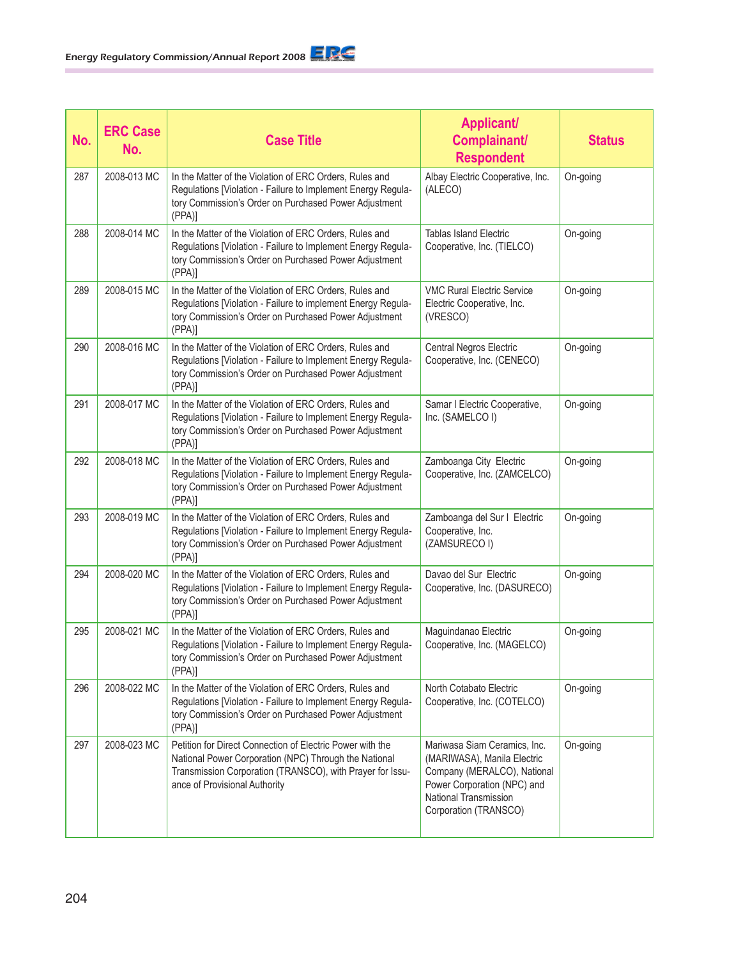| No. | <b>ERC Case</b><br>No. | <b>Case Title</b>                                                                                                                                                                                                | <b>Applicant/</b><br>Complainant/<br><b>Respondent</b>                                                                                                                             | <b>Status</b> |
|-----|------------------------|------------------------------------------------------------------------------------------------------------------------------------------------------------------------------------------------------------------|------------------------------------------------------------------------------------------------------------------------------------------------------------------------------------|---------------|
| 287 | 2008-013 MC            | In the Matter of the Violation of ERC Orders, Rules and<br>Regulations [Violation - Failure to Implement Energy Regula-<br>tory Commission's Order on Purchased Power Adjustment<br>(PPA)]                       | Albay Electric Cooperative, Inc.<br>(ALECO)                                                                                                                                        | On-going      |
| 288 | 2008-014 MC            | In the Matter of the Violation of ERC Orders, Rules and<br>Regulations [Violation - Failure to Implement Energy Regula-<br>tory Commission's Order on Purchased Power Adjustment<br>(PPA)]                       | <b>Tablas Island Electric</b><br>Cooperative, Inc. (TIELCO)                                                                                                                        | On-going      |
| 289 | 2008-015 MC            | In the Matter of the Violation of ERC Orders, Rules and<br>Regulations [Violation - Failure to implement Energy Regula-<br>tory Commission's Order on Purchased Power Adjustment<br>(PPA)]                       | <b>VMC Rural Electric Service</b><br>Electric Cooperative, Inc.<br>(VRESCO)                                                                                                        | On-going      |
| 290 | 2008-016 MC            | In the Matter of the Violation of ERC Orders, Rules and<br>Regulations [Violation - Failure to Implement Energy Regula-<br>tory Commission's Order on Purchased Power Adjustment<br>(PPA)                        | Central Negros Electric<br>Cooperative, Inc. (CENECO)                                                                                                                              | On-going      |
| 291 | 2008-017 MC            | In the Matter of the Violation of ERC Orders, Rules and<br>Regulations [Violation - Failure to Implement Energy Regula-<br>tory Commission's Order on Purchased Power Adjustment<br>$(PPA)$ ]                    | Samar I Electric Cooperative,<br>Inc. (SAMELCO I)                                                                                                                                  | On-going      |
| 292 | 2008-018 MC            | In the Matter of the Violation of ERC Orders, Rules and<br>Regulations [Violation - Failure to Implement Energy Regula-<br>tory Commission's Order on Purchased Power Adjustment<br>(PPA)                        | Zamboanga City Electric<br>Cooperative, Inc. (ZAMCELCO)                                                                                                                            | On-going      |
| 293 | 2008-019 MC            | In the Matter of the Violation of ERC Orders, Rules and<br>Regulations [Violation - Failure to Implement Energy Regula-<br>tory Commission's Order on Purchased Power Adjustment<br>(PPA)                        | Zamboanga del Sur I Electric<br>Cooperative, Inc.<br>(ZAMSURECO I)                                                                                                                 | On-going      |
| 294 | 2008-020 MC            | In the Matter of the Violation of ERC Orders, Rules and<br>Regulations [Violation - Failure to Implement Energy Regula-<br>tory Commission's Order on Purchased Power Adjustment<br>(PPA)                        | Davao del Sur Electric<br>Cooperative, Inc. (DASURECO)                                                                                                                             | On-going      |
| 295 | 2008-021 MC            | In the Matter of the Violation of ERC Orders, Rules and<br>Regulations [Violation - Failure to Implement Energy Regula-<br>tory Commission's Order on Purchased Power Adjustment<br>(PPA)                        | Maguindanao Electric<br>Cooperative, Inc. (MAGELCO)                                                                                                                                | On-going      |
| 296 | 2008-022 MC            | In the Matter of the Violation of ERC Orders, Rules and<br>Regulations [Violation - Failure to Implement Energy Regula-<br>tory Commission's Order on Purchased Power Adjustment<br>(PPA)                        | North Cotabato Electric<br>Cooperative, Inc. (COTELCO)                                                                                                                             | On-going      |
| 297 | 2008-023 MC            | Petition for Direct Connection of Electric Power with the<br>National Power Corporation (NPC) Through the National<br>Transmission Corporation (TRANSCO), with Prayer for Issu-<br>ance of Provisional Authority | Mariwasa Siam Ceramics, Inc.<br>(MARIWASA), Manila Electric<br>Company (MERALCO), National<br>Power Corporation (NPC) and<br><b>National Transmission</b><br>Corporation (TRANSCO) | On-going      |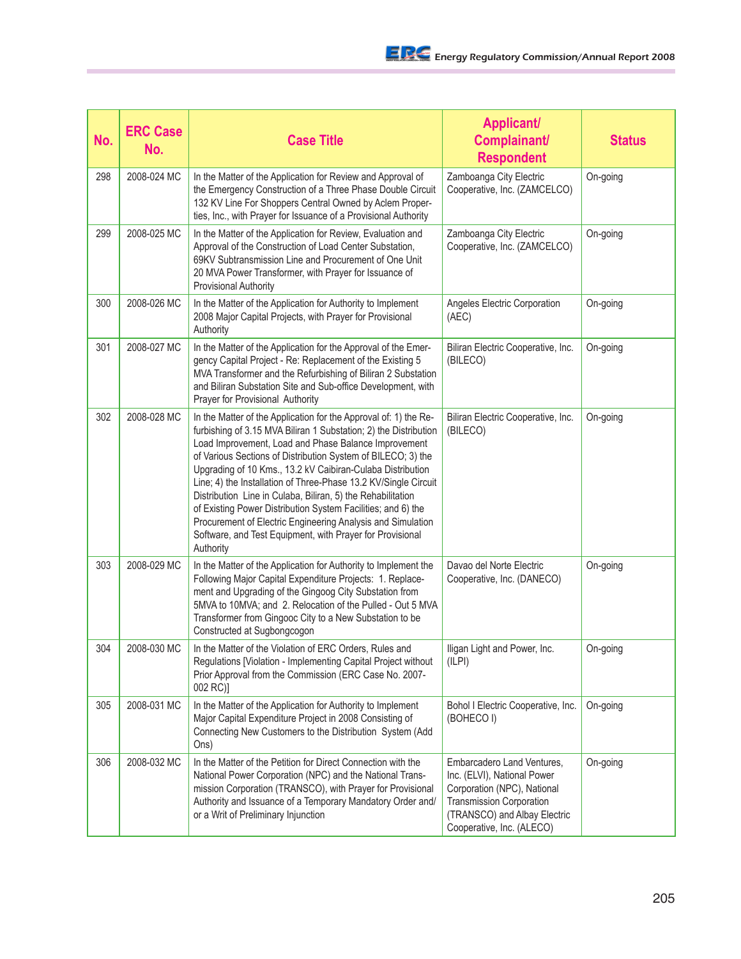| No. | <b>ERC Case</b><br>No. | <b>Case Title</b>                                                                                                                                                                                                                                                                                                                                                                                                                                                                                                                                                                                                                                                     | <b>Applicant/</b><br>Complainant/<br><b>Respondent</b>                                                                                                                                   | <b>Status</b> |
|-----|------------------------|-----------------------------------------------------------------------------------------------------------------------------------------------------------------------------------------------------------------------------------------------------------------------------------------------------------------------------------------------------------------------------------------------------------------------------------------------------------------------------------------------------------------------------------------------------------------------------------------------------------------------------------------------------------------------|------------------------------------------------------------------------------------------------------------------------------------------------------------------------------------------|---------------|
| 298 | 2008-024 MC            | In the Matter of the Application for Review and Approval of<br>the Emergency Construction of a Three Phase Double Circuit<br>132 KV Line For Shoppers Central Owned by Aclem Proper-<br>ties, Inc., with Prayer for Issuance of a Provisional Authority                                                                                                                                                                                                                                                                                                                                                                                                               | Zamboanga City Electric<br>Cooperative, Inc. (ZAMCELCO)                                                                                                                                  | On-going      |
| 299 | 2008-025 MC            | In the Matter of the Application for Review, Evaluation and<br>Approval of the Construction of Load Center Substation,<br>69KV Subtransmission Line and Procurement of One Unit<br>20 MVA Power Transformer, with Prayer for Issuance of<br><b>Provisional Authority</b>                                                                                                                                                                                                                                                                                                                                                                                              | Zamboanga City Electric<br>Cooperative, Inc. (ZAMCELCO)                                                                                                                                  | On-going      |
| 300 | 2008-026 MC            | In the Matter of the Application for Authority to Implement<br>2008 Major Capital Projects, with Prayer for Provisional<br>Authority                                                                                                                                                                                                                                                                                                                                                                                                                                                                                                                                  | Angeles Electric Corporation<br>(AEC)                                                                                                                                                    | On-going      |
| 301 | 2008-027 MC            | In the Matter of the Application for the Approval of the Emer-<br>gency Capital Project - Re: Replacement of the Existing 5<br>MVA Transformer and the Refurbishing of Biliran 2 Substation<br>and Biliran Substation Site and Sub-office Development, with<br>Prayer for Provisional Authority                                                                                                                                                                                                                                                                                                                                                                       | Biliran Electric Cooperative, Inc.<br>(BILECO)                                                                                                                                           | On-going      |
| 302 | 2008-028 MC            | In the Matter of the Application for the Approval of: 1) the Re-<br>furbishing of 3.15 MVA Biliran 1 Substation; 2) the Distribution<br>Load Improvement, Load and Phase Balance Improvement<br>of Various Sections of Distribution System of BILECO; 3) the<br>Upgrading of 10 Kms., 13.2 kV Caibiran-Culaba Distribution<br>Line; 4) the Installation of Three-Phase 13.2 KV/Single Circuit<br>Distribution Line in Culaba, Biliran, 5) the Rehabilitation<br>of Existing Power Distribution System Facilities; and 6) the<br>Procurement of Electric Engineering Analysis and Simulation<br>Software, and Test Equipment, with Prayer for Provisional<br>Authority | Biliran Electric Cooperative, Inc.<br>(BILECO)                                                                                                                                           | On-going      |
| 303 | 2008-029 MC            | In the Matter of the Application for Authority to Implement the<br>Following Major Capital Expenditure Projects: 1. Replace-<br>ment and Upgrading of the Gingoog City Substation from<br>5MVA to 10MVA; and 2. Relocation of the Pulled - Out 5 MVA<br>Transformer from Gingooc City to a New Substation to be<br>Constructed at Sugbongcogon                                                                                                                                                                                                                                                                                                                        | Davao del Norte Electric<br>Cooperative, Inc. (DANECO)                                                                                                                                   | On-going      |
| 304 | 2008-030 MC            | In the Matter of the Violation of ERC Orders, Rules and<br>Regulations [Violation - Implementing Capital Project without<br>Prior Approval from the Commission (ERC Case No. 2007-<br>002 RC)]                                                                                                                                                                                                                                                                                                                                                                                                                                                                        | Iligan Light and Power, Inc.<br>(ILPI)                                                                                                                                                   | On-going      |
| 305 | 2008-031 MC            | In the Matter of the Application for Authority to Implement<br>Major Capital Expenditure Project in 2008 Consisting of<br>Connecting New Customers to the Distribution System (Add<br>Ons)                                                                                                                                                                                                                                                                                                                                                                                                                                                                            | Bohol I Electric Cooperative, Inc.<br>(BOHECO I)                                                                                                                                         | On-going      |
| 306 | 2008-032 MC            | In the Matter of the Petition for Direct Connection with the<br>National Power Corporation (NPC) and the National Trans-<br>mission Corporation (TRANSCO), with Prayer for Provisional<br>Authority and Issuance of a Temporary Mandatory Order and/<br>or a Writ of Preliminary Injunction                                                                                                                                                                                                                                                                                                                                                                           | Embarcadero Land Ventures,<br>Inc. (ELVI), National Power<br>Corporation (NPC), National<br><b>Transmission Corporation</b><br>(TRANSCO) and Albay Electric<br>Cooperative, Inc. (ALECO) | On-going      |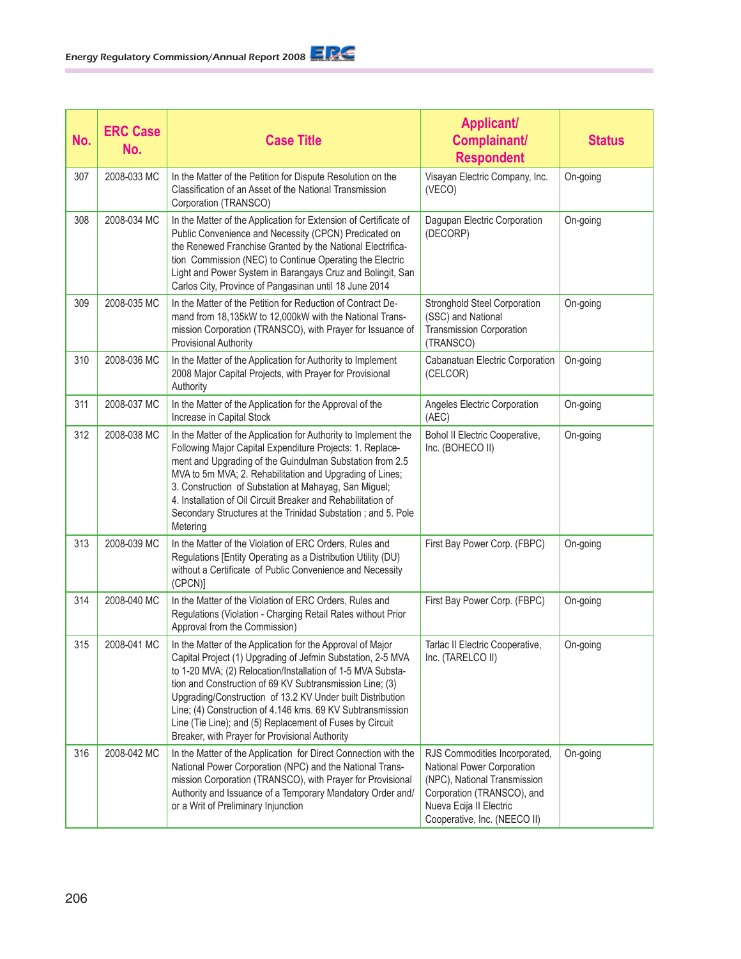| No. | <b>ERC Case</b><br>No. | <b>Case Title</b>                                                                                                                                                                                                                                                                                                                                                                                                                                                                              | <b>Applicant/</b><br>Complainant/<br><b>Respondent</b>                                                                                                                               | <b>Status</b> |
|-----|------------------------|------------------------------------------------------------------------------------------------------------------------------------------------------------------------------------------------------------------------------------------------------------------------------------------------------------------------------------------------------------------------------------------------------------------------------------------------------------------------------------------------|--------------------------------------------------------------------------------------------------------------------------------------------------------------------------------------|---------------|
| 307 | 2008-033 MC            | In the Matter of the Petition for Dispute Resolution on the<br>Classification of an Asset of the National Transmission<br>Corporation (TRANSCO)                                                                                                                                                                                                                                                                                                                                                | Visayan Electric Company, Inc.<br>(VECO)                                                                                                                                             | On-going      |
| 308 | 2008-034 MC            | In the Matter of the Application for Extension of Certificate of<br>Public Convenience and Necessity (CPCN) Predicated on<br>the Renewed Franchise Granted by the National Electrifica-<br>tion Commission (NEC) to Continue Operating the Electric<br>Light and Power System in Barangays Cruz and Bolingit, San<br>Carlos City, Province of Pangasinan until 18 June 2014                                                                                                                    | Dagupan Electric Corporation<br>(DECORP)                                                                                                                                             | On-going      |
| 309 | 2008-035 MC            | In the Matter of the Petition for Reduction of Contract De-<br>mand from 18,135kW to 12,000kW with the National Trans-<br>mission Corporation (TRANSCO), with Prayer for Issuance of<br><b>Provisional Authority</b>                                                                                                                                                                                                                                                                           | Stronghold Steel Corporation<br>(SSC) and National<br><b>Transmission Corporation</b><br>(TRANSCO)                                                                                   | On-going      |
| 310 | 2008-036 MC            | In the Matter of the Application for Authority to Implement<br>2008 Major Capital Projects, with Prayer for Provisional<br>Authority                                                                                                                                                                                                                                                                                                                                                           | Cabanatuan Electric Corporation<br>(CELCOR)                                                                                                                                          | On-going      |
| 311 | 2008-037 MC            | In the Matter of the Application for the Approval of the<br>Increase in Capital Stock                                                                                                                                                                                                                                                                                                                                                                                                          | Angeles Electric Corporation<br>(AEC)                                                                                                                                                | On-going      |
| 312 | 2008-038 MC            | In the Matter of the Application for Authority to Implement the<br>Following Major Capital Expenditure Projects: 1. Replace-<br>ment and Upgrading of the Guindulman Substation from 2.5<br>MVA to 5m MVA; 2. Rehabilitation and Upgrading of Lines;<br>3. Construction of Substation at Mahayag, San Miguel;<br>4. Installation of Oil Circuit Breaker and Rehabilitation of<br>Secondary Structures at the Trinidad Substation; and 5. Pole<br>Metering                                      | Bohol II Electric Cooperative,<br>Inc. (BOHECO II)                                                                                                                                   | On-going      |
| 313 | 2008-039 MC            | In the Matter of the Violation of ERC Orders, Rules and<br>Regulations [Entity Operating as a Distribution Utility (DU)<br>without a Certificate of Public Convenience and Necessity<br>(CPCN)]                                                                                                                                                                                                                                                                                                | First Bay Power Corp. (FBPC)                                                                                                                                                         | On-going      |
| 314 | 2008-040 MC            | In the Matter of the Violation of ERC Orders, Rules and<br>Regulations (Violation - Charging Retail Rates without Prior<br>Approval from the Commission)                                                                                                                                                                                                                                                                                                                                       | First Bay Power Corp. (FBPC)                                                                                                                                                         | On-going      |
| 315 | 2008-041 MC            | In the Matter of the Application for the Approval of Major<br>Capital Project (1) Upgrading of Jefmin Substation, 2-5 MVA<br>to 1-20 MVA; (2) Relocation/Installation of 1-5 MVA Substa-<br>tion and Construction of 69 KV Subtransmission Line; (3)<br>Upgrading/Construction of 13.2 KV Under built Distribution<br>Line; (4) Construction of 4.146 kms. 69 KV Subtransmission<br>Line (Tie Line); and (5) Replacement of Fuses by Circuit<br>Breaker, with Prayer for Provisional Authority | Tarlac II Electric Cooperative,<br>Inc. (TARELCO II)                                                                                                                                 | On-going      |
| 316 | 2008-042 MC            | In the Matter of the Application for Direct Connection with the<br>National Power Corporation (NPC) and the National Trans-<br>mission Corporation (TRANSCO), with Prayer for Provisional<br>Authority and Issuance of a Temporary Mandatory Order and/<br>or a Writ of Preliminary Injunction                                                                                                                                                                                                 | RJS Commodities Incorporated,<br>National Power Corporation<br>(NPC), National Transmission<br>Corporation (TRANSCO), and<br>Nueva Ecija II Electric<br>Cooperative, Inc. (NEECO II) | On-going      |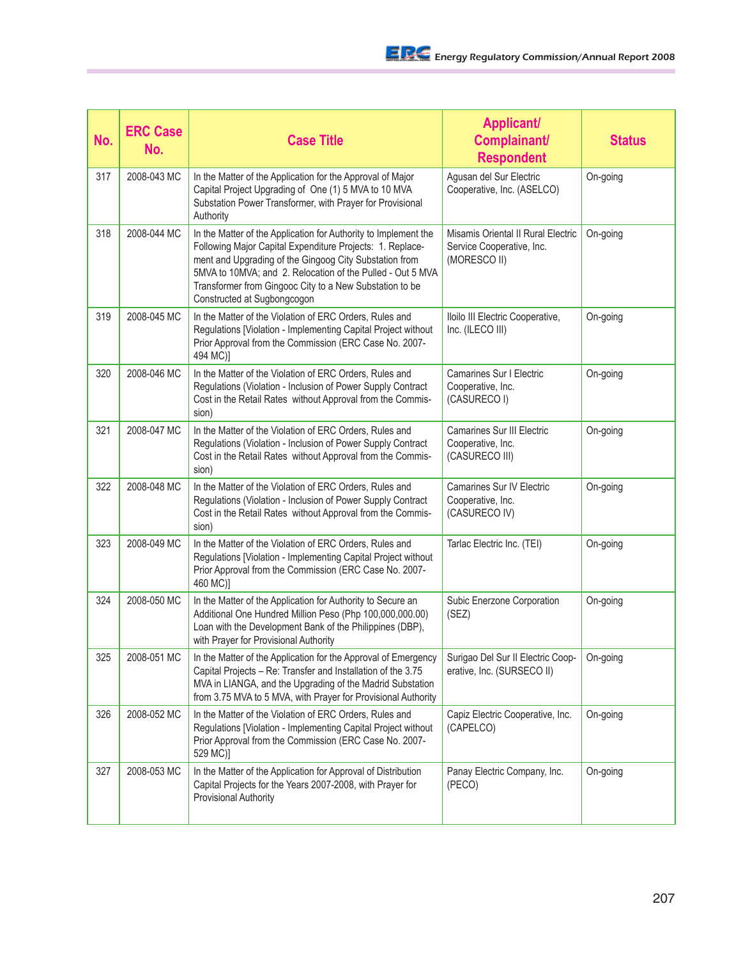| No. | <b>ERC Case</b><br>No. | <b>Case Title</b>                                                                                                                                                                                                                                                                                                                              | <b>Applicant/</b><br>Complainant/<br><b>Respondent</b>                          | <b>Status</b> |
|-----|------------------------|------------------------------------------------------------------------------------------------------------------------------------------------------------------------------------------------------------------------------------------------------------------------------------------------------------------------------------------------|---------------------------------------------------------------------------------|---------------|
| 317 | 2008-043 MC            | In the Matter of the Application for the Approval of Major<br>Capital Project Upgrading of One (1) 5 MVA to 10 MVA<br>Substation Power Transformer, with Prayer for Provisional<br>Authority                                                                                                                                                   | Agusan del Sur Electric<br>Cooperative, Inc. (ASELCO)                           | On-going      |
| 318 | 2008-044 MC            | In the Matter of the Application for Authority to Implement the<br>Following Major Capital Expenditure Projects: 1. Replace-<br>ment and Upgrading of the Gingoog City Substation from<br>5MVA to 10MVA; and 2. Relocation of the Pulled - Out 5 MVA<br>Transformer from Gingooc City to a New Substation to be<br>Constructed at Sugbongcogon | Misamis Oriental II Rural Electric<br>Service Cooperative, Inc.<br>(MORESCO II) | On-going      |
| 319 | 2008-045 MC            | In the Matter of the Violation of ERC Orders, Rules and<br>Regulations [Violation - Implementing Capital Project without<br>Prior Approval from the Commission (ERC Case No. 2007-<br>494 MC)]                                                                                                                                                 | Iloilo III Electric Cooperative,<br>Inc. (ILECO III)                            | On-going      |
| 320 | 2008-046 MC            | In the Matter of the Violation of ERC Orders, Rules and<br>Regulations (Violation - Inclusion of Power Supply Contract<br>Cost in the Retail Rates without Approval from the Commis-<br>sion)                                                                                                                                                  | <b>Camarines Sur I Electric</b><br>Cooperative, Inc.<br>(CASURECO I)            | On-going      |
| 321 | 2008-047 MC            | In the Matter of the Violation of ERC Orders, Rules and<br>Regulations (Violation - Inclusion of Power Supply Contract<br>Cost in the Retail Rates without Approval from the Commis-<br>sion)                                                                                                                                                  | <b>Camarines Sur III Electric</b><br>Cooperative, Inc.<br>(CASURECO III)        | On-going      |
| 322 | 2008-048 MC            | In the Matter of the Violation of ERC Orders, Rules and<br>Regulations (Violation - Inclusion of Power Supply Contract<br>Cost in the Retail Rates without Approval from the Commis-<br>sion)                                                                                                                                                  | <b>Camarines Sur IV Electric</b><br>Cooperative, Inc.<br>(CASURECO IV)          | On-going      |
| 323 | 2008-049 MC            | In the Matter of the Violation of ERC Orders, Rules and<br>Regulations [Violation - Implementing Capital Project without<br>Prior Approval from the Commission (ERC Case No. 2007-<br>460 MC)]                                                                                                                                                 | Tarlac Electric Inc. (TEI)                                                      | On-going      |
| 324 | 2008-050 MC            | In the Matter of the Application for Authority to Secure an<br>Additional One Hundred Million Peso (Php 100,000,000.00)<br>Loan with the Development Bank of the Philippines (DBP),<br>with Prayer for Provisional Authority                                                                                                                   | Subic Enerzone Corporation<br>(SEZ)                                             | On-going      |
| 325 | 2008-051 MC            | In the Matter of the Application for the Approval of Emergency<br>Capital Projects - Re: Transfer and Installation of the 3.75<br>MVA in LIANGA, and the Upgrading of the Madrid Substation<br>from 3.75 MVA to 5 MVA, with Prayer for Provisional Authority                                                                                   | Surigao Del Sur II Electric Coop-<br>erative, Inc. (SURSECO II)                 | On-going      |
| 326 | 2008-052 MC            | In the Matter of the Violation of ERC Orders, Rules and<br>Regulations [Violation - Implementing Capital Project without<br>Prior Approval from the Commission (ERC Case No. 2007-<br>529 MC)]                                                                                                                                                 | Capiz Electric Cooperative, Inc.<br>(CAPELCO)                                   | On-going      |
| 327 | 2008-053 MC            | In the Matter of the Application for Approval of Distribution<br>Capital Projects for the Years 2007-2008, with Prayer for<br>Provisional Authority                                                                                                                                                                                            | Panay Electric Company, Inc.<br>(PECO)                                          | On-going      |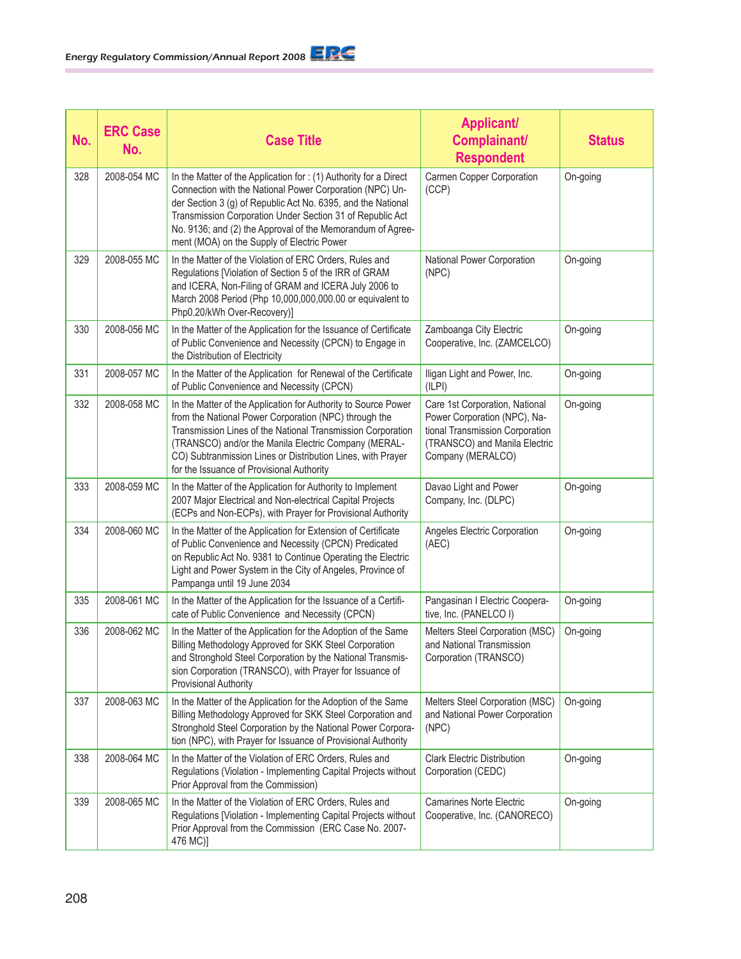| No. | <b>ERC Case</b><br>No. | <b>Case Title</b>                                                                                                                                                                                                                                                                                                                                                     | <b>Applicant/</b><br>Complainant/<br><b>Respondent</b>                                                                                                  | <b>Status</b> |
|-----|------------------------|-----------------------------------------------------------------------------------------------------------------------------------------------------------------------------------------------------------------------------------------------------------------------------------------------------------------------------------------------------------------------|---------------------------------------------------------------------------------------------------------------------------------------------------------|---------------|
| 328 | 2008-054 MC            | In the Matter of the Application for: (1) Authority for a Direct<br>Connection with the National Power Corporation (NPC) Un-<br>der Section 3 (g) of Republic Act No. 6395, and the National<br>Transmission Corporation Under Section 31 of Republic Act<br>No. 9136; and (2) the Approval of the Memorandum of Agree-<br>ment (MOA) on the Supply of Electric Power | Carmen Copper Corporation<br>(CCP)                                                                                                                      | On-going      |
| 329 | 2008-055 MC            | In the Matter of the Violation of ERC Orders, Rules and<br>Regulations [Violation of Section 5 of the IRR of GRAM<br>and ICERA, Non-Filing of GRAM and ICERA July 2006 to<br>March 2008 Period (Php 10,000,000,000.00 or equivalent to<br>Php0.20/kWh Over-Recovery)]                                                                                                 | National Power Corporation<br>(NPC)                                                                                                                     | On-going      |
| 330 | 2008-056 MC            | In the Matter of the Application for the Issuance of Certificate<br>of Public Convenience and Necessity (CPCN) to Engage in<br>the Distribution of Electricity                                                                                                                                                                                                        | Zamboanga City Electric<br>Cooperative, Inc. (ZAMCELCO)                                                                                                 | On-going      |
| 331 | 2008-057 MC            | In the Matter of the Application for Renewal of the Certificate<br>of Public Convenience and Necessity (CPCN)                                                                                                                                                                                                                                                         | Iligan Light and Power, Inc.<br>(ILPI)                                                                                                                  | On-going      |
| 332 | 2008-058 MC            | In the Matter of the Application for Authority to Source Power<br>from the National Power Corporation (NPC) through the<br>Transmission Lines of the National Transmission Corporation<br>(TRANSCO) and/or the Manila Electric Company (MERAL-<br>CO) Subtranmission Lines or Distribution Lines, with Prayer<br>for the Issuance of Provisional Authority            | Care 1st Corporation, National<br>Power Corporation (NPC), Na-<br>tional Transmission Corporation<br>(TRANSCO) and Manila Electric<br>Company (MERALCO) | On-going      |
| 333 | 2008-059 MC            | In the Matter of the Application for Authority to Implement<br>2007 Major Electrical and Non-electrical Capital Projects<br>(ECPs and Non-ECPs), with Prayer for Provisional Authority                                                                                                                                                                                | Davao Light and Power<br>Company, Inc. (DLPC)                                                                                                           | On-going      |
| 334 | 2008-060 MC            | In the Matter of the Application for Extension of Certificate<br>of Public Convenience and Necessity (CPCN) Predicated<br>on Republic Act No. 9381 to Continue Operating the Electric<br>Light and Power System in the City of Angeles, Province of<br>Pampanga until 19 June 2034                                                                                    | Angeles Electric Corporation<br>(AEC)                                                                                                                   | On-going      |
| 335 | 2008-061 MC            | In the Matter of the Application for the Issuance of a Certifi-<br>cate of Public Convenience and Necessity (CPCN)                                                                                                                                                                                                                                                    | Pangasinan I Electric Coopera-<br>tive, Inc. (PANELCO I)                                                                                                | On-going      |
| 336 | 2008-062 MC            | In the Matter of the Application for the Adoption of the Same<br>Billing Methodology Approved for SKK Steel Corporation<br>and Stronghold Steel Corporation by the National Transmis-<br>sion Corporation (TRANSCO), with Prayer for Issuance of<br>Provisional Authority                                                                                             | Melters Steel Corporation (MSC)<br>and National Transmission<br>Corporation (TRANSCO)                                                                   | On-going      |
| 337 | 2008-063 MC            | In the Matter of the Application for the Adoption of the Same<br>Billing Methodology Approved for SKK Steel Corporation and<br>Stronghold Steel Corporation by the National Power Corpora-<br>tion (NPC), with Prayer for Issuance of Provisional Authority                                                                                                           | Melters Steel Corporation (MSC)<br>and National Power Corporation<br>(NPC)                                                                              | On-going      |
| 338 | 2008-064 MC            | In the Matter of the Violation of ERC Orders, Rules and<br>Regulations (Violation - Implementing Capital Projects without<br>Prior Approval from the Commission)                                                                                                                                                                                                      | <b>Clark Electric Distribution</b><br>Corporation (CEDC)                                                                                                | On-going      |
| 339 | 2008-065 MC            | In the Matter of the Violation of ERC Orders, Rules and<br>Regulations [Violation - Implementing Capital Projects without<br>Prior Approval from the Commission (ERC Case No. 2007-<br>476 MC)]                                                                                                                                                                       | <b>Camarines Norte Electric</b><br>Cooperative, Inc. (CANORECO)                                                                                         | On-going      |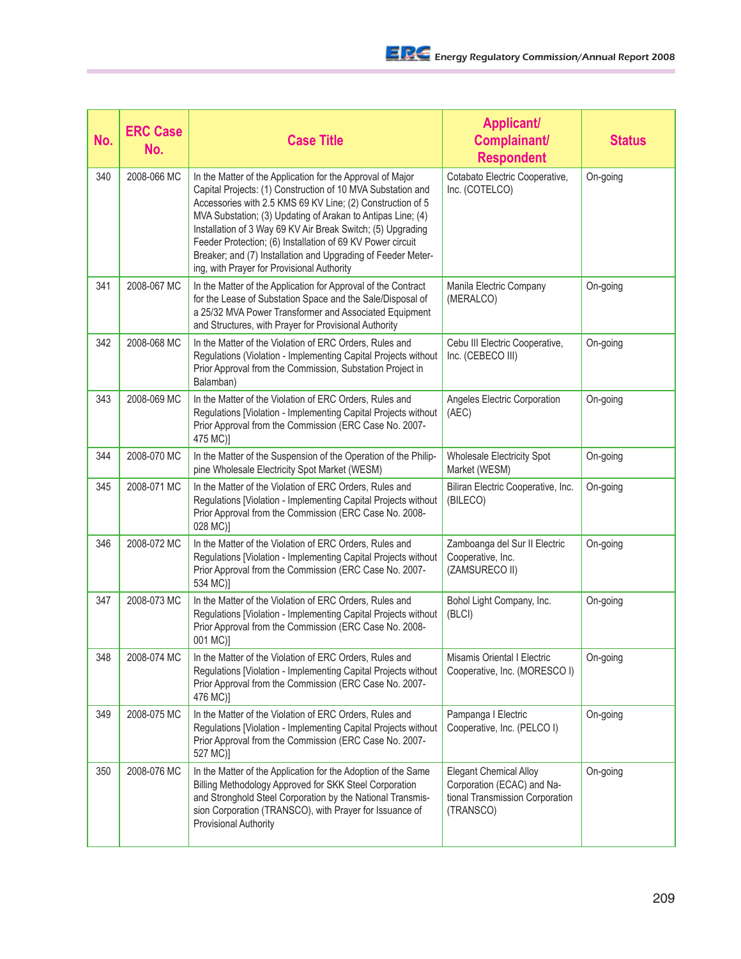| No. | <b>ERC Case</b><br>No. | <b>Case Title</b>                                                                                                                                                                                                                                                                                                                                                                                                                                                                                 | <b>Applicant/</b><br>Complainant/<br><b>Respondent</b>                                                      | <b>Status</b> |
|-----|------------------------|---------------------------------------------------------------------------------------------------------------------------------------------------------------------------------------------------------------------------------------------------------------------------------------------------------------------------------------------------------------------------------------------------------------------------------------------------------------------------------------------------|-------------------------------------------------------------------------------------------------------------|---------------|
| 340 | 2008-066 MC            | In the Matter of the Application for the Approval of Major<br>Capital Projects: (1) Construction of 10 MVA Substation and<br>Accessories with 2.5 KMS 69 KV Line; (2) Construction of 5<br>MVA Substation; (3) Updating of Arakan to Antipas Line; (4)<br>Installation of 3 Way 69 KV Air Break Switch; (5) Upgrading<br>Feeder Protection; (6) Installation of 69 KV Power circuit<br>Breaker; and (7) Installation and Upgrading of Feeder Meter-<br>ing, with Prayer for Provisional Authority | Cotabato Electric Cooperative,<br>Inc. (COTELCO)                                                            | On-going      |
| 341 | 2008-067 MC            | In the Matter of the Application for Approval of the Contract<br>for the Lease of Substation Space and the Sale/Disposal of<br>a 25/32 MVA Power Transformer and Associated Equipment<br>and Structures, with Prayer for Provisional Authority                                                                                                                                                                                                                                                    | Manila Electric Company<br>(MERALCO)                                                                        | On-going      |
| 342 | 2008-068 MC            | In the Matter of the Violation of ERC Orders, Rules and<br>Regulations (Violation - Implementing Capital Projects without<br>Prior Approval from the Commission, Substation Project in<br>Balamban)                                                                                                                                                                                                                                                                                               | Cebu III Electric Cooperative,<br>Inc. (CEBECO III)                                                         | On-going      |
| 343 | 2008-069 MC            | In the Matter of the Violation of ERC Orders, Rules and<br>Regulations [Violation - Implementing Capital Projects without<br>Prior Approval from the Commission (ERC Case No. 2007-<br>475 MC)]                                                                                                                                                                                                                                                                                                   | Angeles Electric Corporation<br>(AEC)                                                                       | On-going      |
| 344 | 2008-070 MC            | In the Matter of the Suspension of the Operation of the Philip-<br>pine Wholesale Electricity Spot Market (WESM)                                                                                                                                                                                                                                                                                                                                                                                  | Wholesale Electricity Spot<br>Market (WESM)                                                                 | On-going      |
| 345 | 2008-071 MC            | In the Matter of the Violation of ERC Orders, Rules and<br>Regulations [Violation - Implementing Capital Projects without<br>Prior Approval from the Commission (ERC Case No. 2008-<br>028 MC)]                                                                                                                                                                                                                                                                                                   | Biliran Electric Cooperative, Inc.<br>(BILECO)                                                              | On-going      |
| 346 | 2008-072 MC            | In the Matter of the Violation of ERC Orders, Rules and<br>Regulations [Violation - Implementing Capital Projects without<br>Prior Approval from the Commission (ERC Case No. 2007-<br>534 MC)]                                                                                                                                                                                                                                                                                                   | Zamboanga del Sur II Electric<br>Cooperative, Inc.<br>(ZAMSURECO II)                                        | On-going      |
| 347 | 2008-073 MC            | In the Matter of the Violation of ERC Orders, Rules and<br>Regulations [Violation - Implementing Capital Projects without<br>Prior Approval from the Commission (ERC Case No. 2008-<br>001 MC)]                                                                                                                                                                                                                                                                                                   | Bohol Light Company, Inc.<br>(BLCI)                                                                         | On-going      |
| 348 | 2008-074 MC            | In the Matter of the Violation of ERC Orders, Rules and<br>Regulations [Violation - Implementing Capital Projects without<br>Prior Approval from the Commission (ERC Case No. 2007-<br>476 MC)]                                                                                                                                                                                                                                                                                                   | Misamis Oriental I Electric<br>Cooperative, Inc. (MORESCO I)                                                | On-going      |
| 349 | 2008-075 MC            | In the Matter of the Violation of ERC Orders, Rules and<br>Regulations [Violation - Implementing Capital Projects without<br>Prior Approval from the Commission (ERC Case No. 2007-<br>527 MC)]                                                                                                                                                                                                                                                                                                   | Pampanga I Electric<br>Cooperative, Inc. (PELCO I)                                                          | On-going      |
| 350 | 2008-076 MC            | In the Matter of the Application for the Adoption of the Same<br>Billing Methodology Approved for SKK Steel Corporation<br>and Stronghold Steel Corporation by the National Transmis-<br>sion Corporation (TRANSCO), with Prayer for Issuance of<br>Provisional Authority                                                                                                                                                                                                                         | <b>Elegant Chemical Alloy</b><br>Corporation (ECAC) and Na-<br>tional Transmission Corporation<br>(TRANSCO) | On-going      |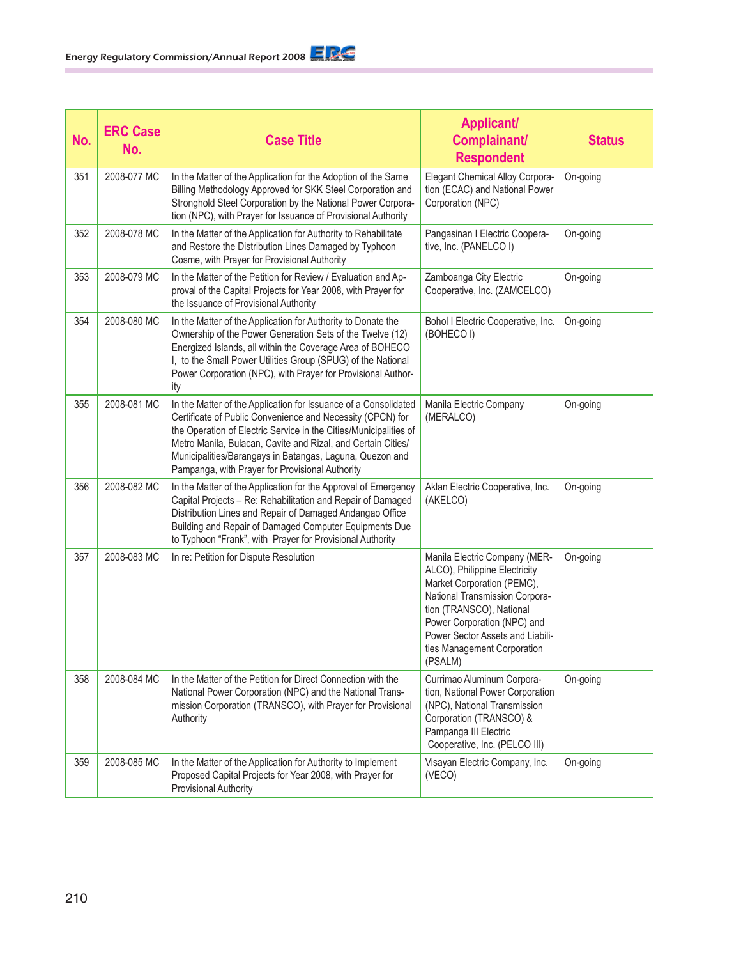| No. | <b>ERC Case</b><br>No. | <b>Case Title</b>                                                                                                                                                                                                                                                                                                                                                                 | <b>Applicant/</b><br>Complainant/<br><b>Respondent</b>                                                                                                                                                                                                                  | <b>Status</b> |
|-----|------------------------|-----------------------------------------------------------------------------------------------------------------------------------------------------------------------------------------------------------------------------------------------------------------------------------------------------------------------------------------------------------------------------------|-------------------------------------------------------------------------------------------------------------------------------------------------------------------------------------------------------------------------------------------------------------------------|---------------|
| 351 | 2008-077 MC            | In the Matter of the Application for the Adoption of the Same<br>Billing Methodology Approved for SKK Steel Corporation and<br>Stronghold Steel Corporation by the National Power Corpora-<br>tion (NPC), with Prayer for Issuance of Provisional Authority                                                                                                                       | <b>Elegant Chemical Alloy Corpora-</b><br>tion (ECAC) and National Power<br>Corporation (NPC)                                                                                                                                                                           | On-going      |
| 352 | 2008-078 MC            | In the Matter of the Application for Authority to Rehabilitate<br>and Restore the Distribution Lines Damaged by Typhoon<br>Cosme, with Prayer for Provisional Authority                                                                                                                                                                                                           | Pangasinan I Electric Coopera-<br>tive, Inc. (PANELCO I)                                                                                                                                                                                                                | On-going      |
| 353 | 2008-079 MC            | In the Matter of the Petition for Review / Evaluation and Ap-<br>proval of the Capital Projects for Year 2008, with Prayer for<br>the Issuance of Provisional Authority                                                                                                                                                                                                           | Zamboanga City Electric<br>Cooperative, Inc. (ZAMCELCO)                                                                                                                                                                                                                 | On-going      |
| 354 | 2008-080 MC            | In the Matter of the Application for Authority to Donate the<br>Ownership of the Power Generation Sets of the Twelve (12)<br>Energized Islands, all within the Coverage Area of BOHECO<br>I, to the Small Power Utilities Group (SPUG) of the National<br>Power Corporation (NPC), with Prayer for Provisional Author-<br>ity                                                     | Bohol I Electric Cooperative, Inc.<br>(BOHECO I)                                                                                                                                                                                                                        | On-going      |
| 355 | 2008-081 MC            | In the Matter of the Application for Issuance of a Consolidated<br>Certificate of Public Convenience and Necessity (CPCN) for<br>the Operation of Electric Service in the Cities/Municipalities of<br>Metro Manila, Bulacan, Cavite and Rizal, and Certain Cities/<br>Municipalities/Barangays in Batangas, Laguna, Quezon and<br>Pampanga, with Prayer for Provisional Authority | Manila Electric Company<br>(MERALCO)                                                                                                                                                                                                                                    | On-going      |
| 356 | 2008-082 MC            | In the Matter of the Application for the Approval of Emergency<br>Capital Projects - Re: Rehabilitation and Repair of Damaged<br>Distribution Lines and Repair of Damaged Andangao Office<br>Building and Repair of Damaged Computer Equipments Due<br>to Typhoon "Frank", with Prayer for Provisional Authority                                                                  | Aklan Electric Cooperative, Inc.<br>(AKELCO)                                                                                                                                                                                                                            | On-going      |
| 357 | 2008-083 MC            | In re: Petition for Dispute Resolution                                                                                                                                                                                                                                                                                                                                            | Manila Electric Company (MER-<br>ALCO), Philippine Electricity<br>Market Corporation (PEMC),<br>National Transmission Corpora-<br>tion (TRANSCO), National<br>Power Corporation (NPC) and<br>Power Sector Assets and Liabili-<br>ties Management Corporation<br>(PSALM) | On-going      |
| 358 | 2008-084 MC            | In the Matter of the Petition for Direct Connection with the<br>National Power Corporation (NPC) and the National Trans-<br>mission Corporation (TRANSCO), with Prayer for Provisional<br>Authority                                                                                                                                                                               | Currimao Aluminum Corpora-<br>tion, National Power Corporation<br>(NPC), National Transmission<br>Corporation (TRANSCO) &<br>Pampanga III Electric<br>Cooperative, Inc. (PELCO III)                                                                                     | On-going      |
| 359 | 2008-085 MC            | In the Matter of the Application for Authority to Implement<br>Proposed Capital Projects for Year 2008, with Prayer for<br><b>Provisional Authority</b>                                                                                                                                                                                                                           | Visayan Electric Company, Inc.<br>(VECO)                                                                                                                                                                                                                                | On-going      |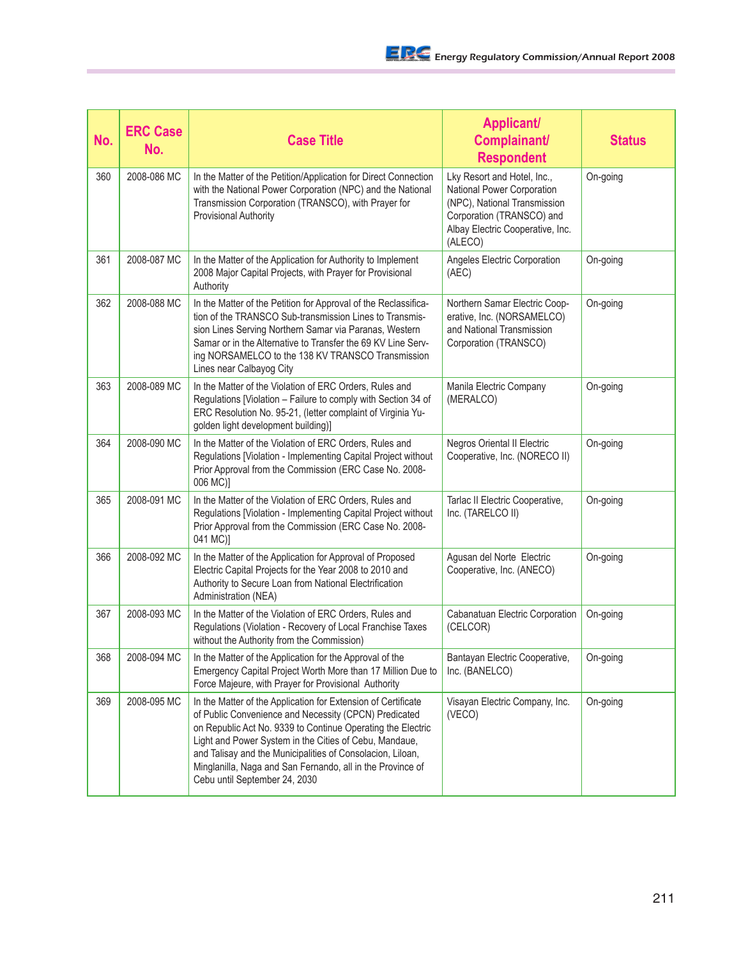| No. | <b>ERC Case</b><br>No. | <b>Case Title</b>                                                                                                                                                                                                                                                                                                                                                                                            | <b>Applicant/</b><br>Complainant/<br><b>Respondent</b>                                                                                                                | <b>Status</b> |
|-----|------------------------|--------------------------------------------------------------------------------------------------------------------------------------------------------------------------------------------------------------------------------------------------------------------------------------------------------------------------------------------------------------------------------------------------------------|-----------------------------------------------------------------------------------------------------------------------------------------------------------------------|---------------|
| 360 | 2008-086 MC            | In the Matter of the Petition/Application for Direct Connection<br>with the National Power Corporation (NPC) and the National<br>Transmission Corporation (TRANSCO), with Prayer for<br><b>Provisional Authority</b>                                                                                                                                                                                         | Lky Resort and Hotel, Inc.,<br>National Power Corporation<br>(NPC), National Transmission<br>Corporation (TRANSCO) and<br>Albay Electric Cooperative, Inc.<br>(ALECO) | On-going      |
| 361 | 2008-087 MC            | In the Matter of the Application for Authority to Implement<br>2008 Major Capital Projects, with Prayer for Provisional<br>Authority                                                                                                                                                                                                                                                                         | Angeles Electric Corporation<br>(AEC)                                                                                                                                 | On-going      |
| 362 | 2008-088 MC            | In the Matter of the Petition for Approval of the Reclassifica-<br>tion of the TRANSCO Sub-transmission Lines to Transmis-<br>sion Lines Serving Northern Samar via Paranas, Western<br>Samar or in the Alternative to Transfer the 69 KV Line Serv-<br>ing NORSAMELCO to the 138 KV TRANSCO Transmission<br>Lines near Calbayog City                                                                        | Northern Samar Electric Coop-<br>erative, Inc. (NORSAMELCO)<br>and National Transmission<br>Corporation (TRANSCO)                                                     | On-going      |
| 363 | 2008-089 MC            | In the Matter of the Violation of ERC Orders, Rules and<br>Regulations [Violation - Failure to comply with Section 34 of<br>ERC Resolution No. 95-21, (letter complaint of Virginia Yu-<br>golden light development building)]                                                                                                                                                                               | Manila Electric Company<br>(MERALCO)                                                                                                                                  | On-going      |
| 364 | 2008-090 MC            | In the Matter of the Violation of ERC Orders, Rules and<br>Regulations [Violation - Implementing Capital Project without<br>Prior Approval from the Commission (ERC Case No. 2008-<br>006 MC)]                                                                                                                                                                                                               | Negros Oriental II Electric<br>Cooperative, Inc. (NORECO II)                                                                                                          | On-going      |
| 365 | 2008-091 MC            | In the Matter of the Violation of ERC Orders, Rules and<br>Regulations [Violation - Implementing Capital Project without<br>Prior Approval from the Commission (ERC Case No. 2008-<br>041 MC)]                                                                                                                                                                                                               | Tarlac II Electric Cooperative,<br>Inc. (TARELCO II)                                                                                                                  | On-going      |
| 366 | 2008-092 MC            | In the Matter of the Application for Approval of Proposed<br>Electric Capital Projects for the Year 2008 to 2010 and<br>Authority to Secure Loan from National Electrification<br>Administration (NEA)                                                                                                                                                                                                       | Agusan del Norte Electric<br>Cooperative, Inc. (ANECO)                                                                                                                | On-going      |
| 367 | 2008-093 MC            | In the Matter of the Violation of ERC Orders, Rules and<br>Regulations (Violation - Recovery of Local Franchise Taxes<br>without the Authority from the Commission)                                                                                                                                                                                                                                          | Cabanatuan Electric Corporation<br>(CELCOR)                                                                                                                           | On-going      |
| 368 | 2008-094 MC            | In the Matter of the Application for the Approval of the<br>Emergency Capital Project Worth More than 17 Million Due to<br>Force Majeure, with Prayer for Provisional Authority                                                                                                                                                                                                                              | Bantayan Electric Cooperative,<br>Inc. (BANELCO)                                                                                                                      | On-going      |
| 369 | 2008-095 MC            | In the Matter of the Application for Extension of Certificate<br>of Public Convenience and Necessity (CPCN) Predicated<br>on Republic Act No. 9339 to Continue Operating the Electric<br>Light and Power System in the Cities of Cebu, Mandaue,<br>and Talisay and the Municipalities of Consolacion, Liloan,<br>Minglanilla, Naga and San Fernando, all in the Province of<br>Cebu until September 24, 2030 | Visayan Electric Company, Inc.<br>(VECO)                                                                                                                              | On-going      |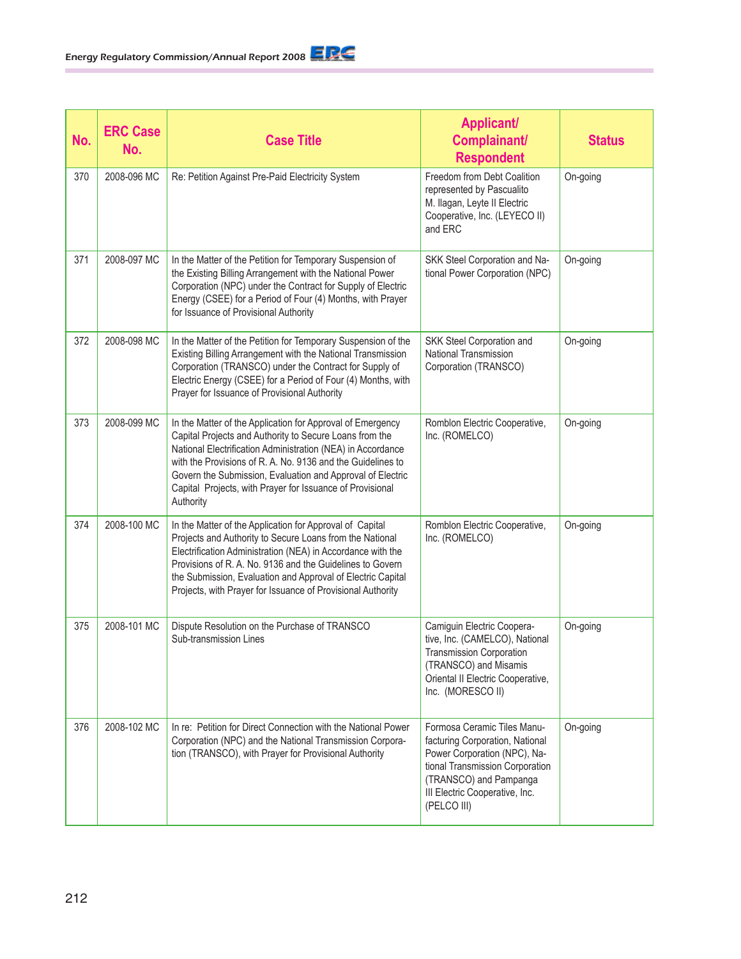| No. | <b>ERC Case</b><br>No. | <b>Case Title</b>                                                                                                                                                                                                                                                                                                                                                                           | <b>Applicant/</b><br>Complainant/<br><b>Respondent</b>                                                                                                                                                       | <b>Status</b> |
|-----|------------------------|---------------------------------------------------------------------------------------------------------------------------------------------------------------------------------------------------------------------------------------------------------------------------------------------------------------------------------------------------------------------------------------------|--------------------------------------------------------------------------------------------------------------------------------------------------------------------------------------------------------------|---------------|
| 370 | 2008-096 MC            | Re: Petition Against Pre-Paid Electricity System                                                                                                                                                                                                                                                                                                                                            | Freedom from Debt Coalition<br>represented by Pascualito<br>M. Ilagan, Leyte II Electric<br>Cooperative, Inc. (LEYECO II)<br>and ERC                                                                         | On-going      |
| 371 | 2008-097 MC            | In the Matter of the Petition for Temporary Suspension of<br>the Existing Billing Arrangement with the National Power<br>Corporation (NPC) under the Contract for Supply of Electric<br>Energy (CSEE) for a Period of Four (4) Months, with Prayer<br>for Issuance of Provisional Authority                                                                                                 | SKK Steel Corporation and Na-<br>tional Power Corporation (NPC)                                                                                                                                              | On-going      |
| 372 | 2008-098 MC            | In the Matter of the Petition for Temporary Suspension of the<br>Existing Billing Arrangement with the National Transmission<br>Corporation (TRANSCO) under the Contract for Supply of<br>Electric Energy (CSEE) for a Period of Four (4) Months, with<br>Prayer for Issuance of Provisional Authority                                                                                      | SKK Steel Corporation and<br>National Transmission<br>Corporation (TRANSCO)                                                                                                                                  | On-going      |
| 373 | 2008-099 MC            | In the Matter of the Application for Approval of Emergency<br>Capital Projects and Authority to Secure Loans from the<br>National Electrification Administration (NEA) in Accordance<br>with the Provisions of R. A. No. 9136 and the Guidelines to<br>Govern the Submission, Evaluation and Approval of Electric<br>Capital Projects, with Prayer for Issuance of Provisional<br>Authority | Romblon Electric Cooperative,<br>Inc. (ROMELCO)                                                                                                                                                              | On-going      |
| 374 | 2008-100 MC            | In the Matter of the Application for Approval of Capital<br>Projects and Authority to Secure Loans from the National<br>Electrification Administration (NEA) in Accordance with the<br>Provisions of R. A. No. 9136 and the Guidelines to Govern<br>the Submission, Evaluation and Approval of Electric Capital<br>Projects, with Prayer for Issuance of Provisional Authority              | Romblon Electric Cooperative,<br>Inc. (ROMELCO)                                                                                                                                                              | On-going      |
| 375 | 2008-101 MC            | Dispute Resolution on the Purchase of TRANSCO<br>Sub-transmission Lines                                                                                                                                                                                                                                                                                                                     | Camiguin Electric Coopera-<br>tive, Inc. (CAMELCO), National<br><b>Transmission Corporation</b><br>(TRANSCO) and Misamis<br>Oriental II Electric Cooperative,<br>Inc. (MORESCO II)                           | On-going      |
| 376 | 2008-102 MC            | In re: Petition for Direct Connection with the National Power<br>Corporation (NPC) and the National Transmission Corpora-<br>tion (TRANSCO), with Prayer for Provisional Authority                                                                                                                                                                                                          | Formosa Ceramic Tiles Manu-<br>facturing Corporation, National<br>Power Corporation (NPC), Na-<br>tional Transmission Corporation<br>(TRANSCO) and Pampanga<br>III Electric Cooperative, Inc.<br>(PELCO III) | On-going      |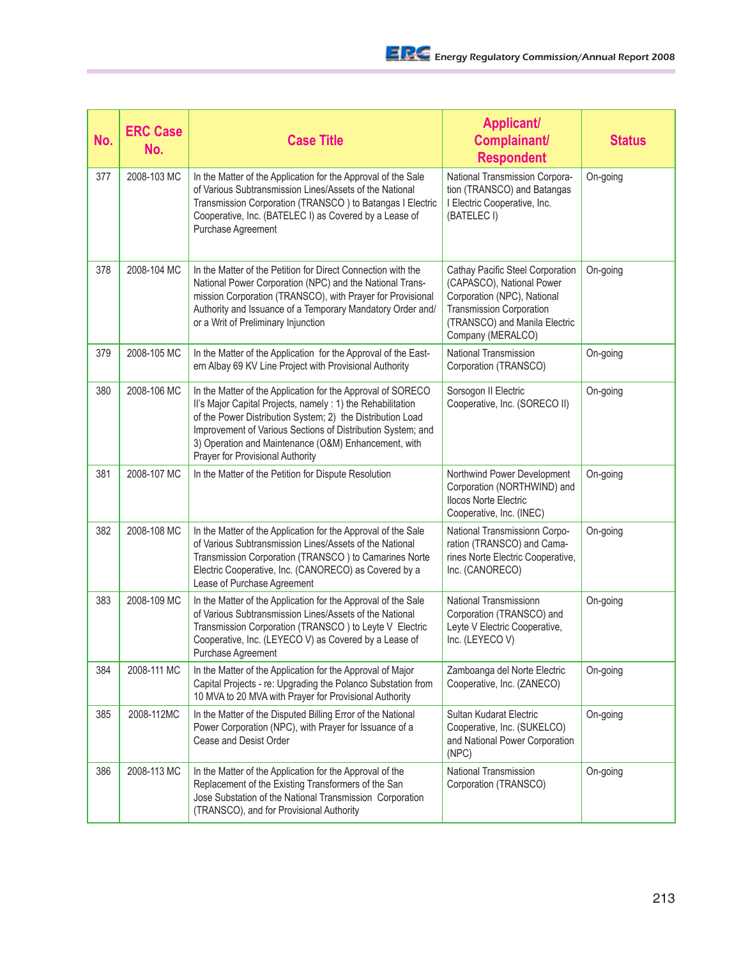| No. | <b>ERC Case</b><br>No. | <b>Case Title</b>                                                                                                                                                                                                                                                                                                                                   | <b>Applicant/</b><br>Complainant/<br><b>Respondent</b>                                                                                                                                | <b>Status</b> |
|-----|------------------------|-----------------------------------------------------------------------------------------------------------------------------------------------------------------------------------------------------------------------------------------------------------------------------------------------------------------------------------------------------|---------------------------------------------------------------------------------------------------------------------------------------------------------------------------------------|---------------|
| 377 | 2008-103 MC            | In the Matter of the Application for the Approval of the Sale<br>of Various Subtransmission Lines/Assets of the National<br>Transmission Corporation (TRANSCO) to Batangas I Electric<br>Cooperative, Inc. (BATELEC I) as Covered by a Lease of<br>Purchase Agreement                                                                               | National Transmission Corpora-<br>tion (TRANSCO) and Batangas<br>I Electric Cooperative, Inc.<br>(BATELEC I)                                                                          | On-going      |
| 378 | 2008-104 MC            | In the Matter of the Petition for Direct Connection with the<br>National Power Corporation (NPC) and the National Trans-<br>mission Corporation (TRANSCO), with Prayer for Provisional<br>Authority and Issuance of a Temporary Mandatory Order and/<br>or a Writ of Preliminary Injunction                                                         | Cathay Pacific Steel Corporation<br>(CAPASCO), National Power<br>Corporation (NPC), National<br><b>Transmission Corporation</b><br>(TRANSCO) and Manila Electric<br>Company (MERALCO) | On-going      |
| 379 | 2008-105 MC            | In the Matter of the Application for the Approval of the East-<br>ern Albay 69 KV Line Project with Provisional Authority                                                                                                                                                                                                                           | <b>National Transmission</b><br>Corporation (TRANSCO)                                                                                                                                 | On-going      |
| 380 | 2008-106 MC            | In the Matter of the Application for the Approval of SORECO<br>Il's Major Capital Projects, namely : 1) the Rehabilitation<br>of the Power Distribution System; 2) the Distribution Load<br>Improvement of Various Sections of Distribution System; and<br>3) Operation and Maintenance (O&M) Enhancement, with<br>Prayer for Provisional Authority | Sorsogon II Electric<br>Cooperative, Inc. (SORECO II)                                                                                                                                 | On-going      |
| 381 | 2008-107 MC            | In the Matter of the Petition for Dispute Resolution                                                                                                                                                                                                                                                                                                | Northwind Power Development<br>Corporation (NORTHWIND) and<br><b>Ilocos Norte Electric</b><br>Cooperative, Inc. (INEC)                                                                | On-going      |
| 382 | 2008-108 MC            | In the Matter of the Application for the Approval of the Sale<br>of Various Subtransmission Lines/Assets of the National<br>Transmission Corporation (TRANSCO) to Camarines Norte<br>Electric Cooperative, Inc. (CANORECO) as Covered by a<br>Lease of Purchase Agreement                                                                           | National Transmissionn Corpo-<br>ration (TRANSCO) and Cama-<br>rines Norte Electric Cooperative,<br>Inc. (CANORECO)                                                                   | On-going      |
| 383 | 2008-109 MC            | In the Matter of the Application for the Approval of the Sale<br>of Various Subtransmission Lines/Assets of the National<br>Transmission Corporation (TRANSCO) to Leyte V Electric<br>Cooperative, Inc. (LEYECO V) as Covered by a Lease of<br>Purchase Agreement                                                                                   | National Transmissionn<br>Corporation (TRANSCO) and<br>Leyte V Electric Cooperative,<br>Inc. (LEYECOV)                                                                                | On-going      |
| 384 | 2008-111 MC            | In the Matter of the Application for the Approval of Major<br>Capital Projects - re: Upgrading the Polanco Substation from<br>10 MVA to 20 MVA with Prayer for Provisional Authority                                                                                                                                                                | Zamboanga del Norte Electric<br>Cooperative, Inc. (ZANECO)                                                                                                                            | On-going      |
| 385 | 2008-112MC             | In the Matter of the Disputed Billing Error of the National<br>Power Corporation (NPC), with Prayer for Issuance of a<br>Cease and Desist Order                                                                                                                                                                                                     | Sultan Kudarat Electric<br>Cooperative, Inc. (SUKELCO)<br>and National Power Corporation<br>(NPC)                                                                                     | On-going      |
| 386 | 2008-113 MC            | In the Matter of the Application for the Approval of the<br>Replacement of the Existing Transformers of the San<br>Jose Substation of the National Transmission Corporation<br>(TRANSCO), and for Provisional Authority                                                                                                                             | National Transmission<br>Corporation (TRANSCO)                                                                                                                                        | On-going      |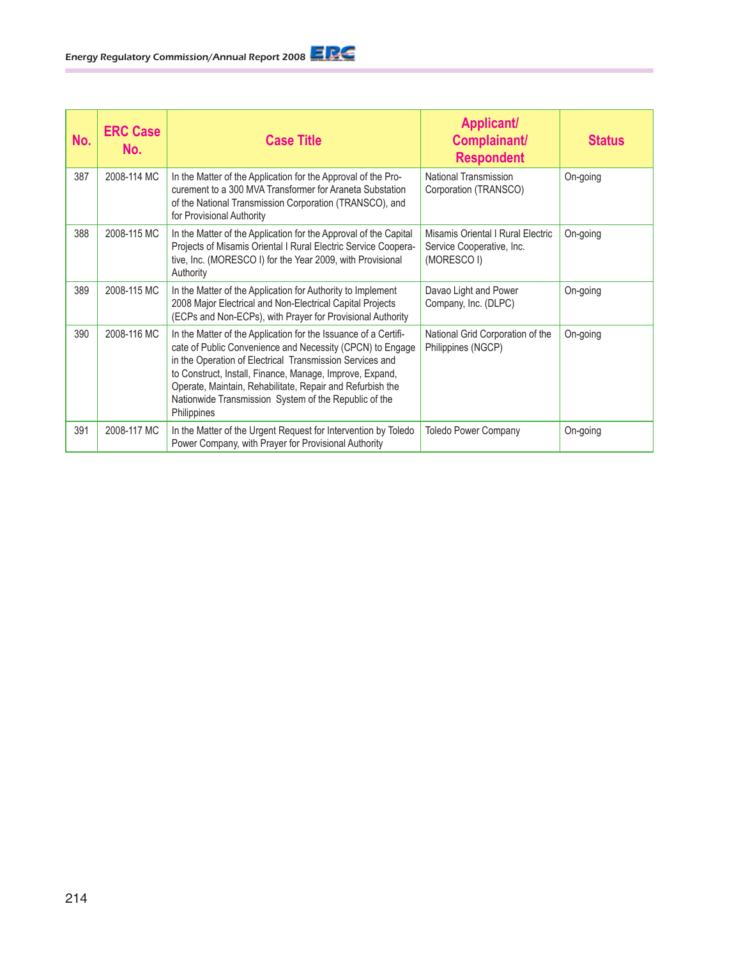| No. | <b>ERC Case</b><br>No. | <b>Case Title</b>                                                                                                                                                                                                                                                                                                                                                                         | <b>Applicant/</b><br>Complainant/<br><b>Respondent</b>                        | <b>Status</b> |
|-----|------------------------|-------------------------------------------------------------------------------------------------------------------------------------------------------------------------------------------------------------------------------------------------------------------------------------------------------------------------------------------------------------------------------------------|-------------------------------------------------------------------------------|---------------|
| 387 | 2008-114 MC            | In the Matter of the Application for the Approval of the Pro-<br>curement to a 300 MVA Transformer for Araneta Substation<br>of the National Transmission Corporation (TRANSCO), and<br>for Provisional Authority                                                                                                                                                                         | National Transmission<br>Corporation (TRANSCO)                                | On-going      |
| 388 | 2008-115 MC            | In the Matter of the Application for the Approval of the Capital<br>Projects of Misamis Oriental I Rural Electric Service Coopera-<br>tive, Inc. (MORESCO I) for the Year 2009, with Provisional<br>Authority                                                                                                                                                                             | Misamis Oriental I Rural Electric<br>Service Cooperative, Inc.<br>(MORESCO I) | On-going      |
| 389 | 2008-115 MC            | In the Matter of the Application for Authority to Implement<br>2008 Major Electrical and Non-Electrical Capital Projects<br>(ECPs and Non-ECPs), with Prayer for Provisional Authority                                                                                                                                                                                                    | Davao Light and Power<br>Company, Inc. (DLPC)                                 | On-going      |
| 390 | 2008-116 MC            | In the Matter of the Application for the Issuance of a Certifi-<br>cate of Public Convenience and Necessity (CPCN) to Engage<br>in the Operation of Electrical Transmission Services and<br>to Construct, Install, Finance, Manage, Improve, Expand,<br>Operate, Maintain, Rehabilitate, Repair and Refurbish the<br>Nationwide Transmission System of the Republic of the<br>Philippines | National Grid Corporation of the<br>Philippines (NGCP)                        | On-going      |
| 391 | 2008-117 MC            | In the Matter of the Urgent Request for Intervention by Toledo<br>Power Company, with Prayer for Provisional Authority                                                                                                                                                                                                                                                                    | Toledo Power Company                                                          | On-going      |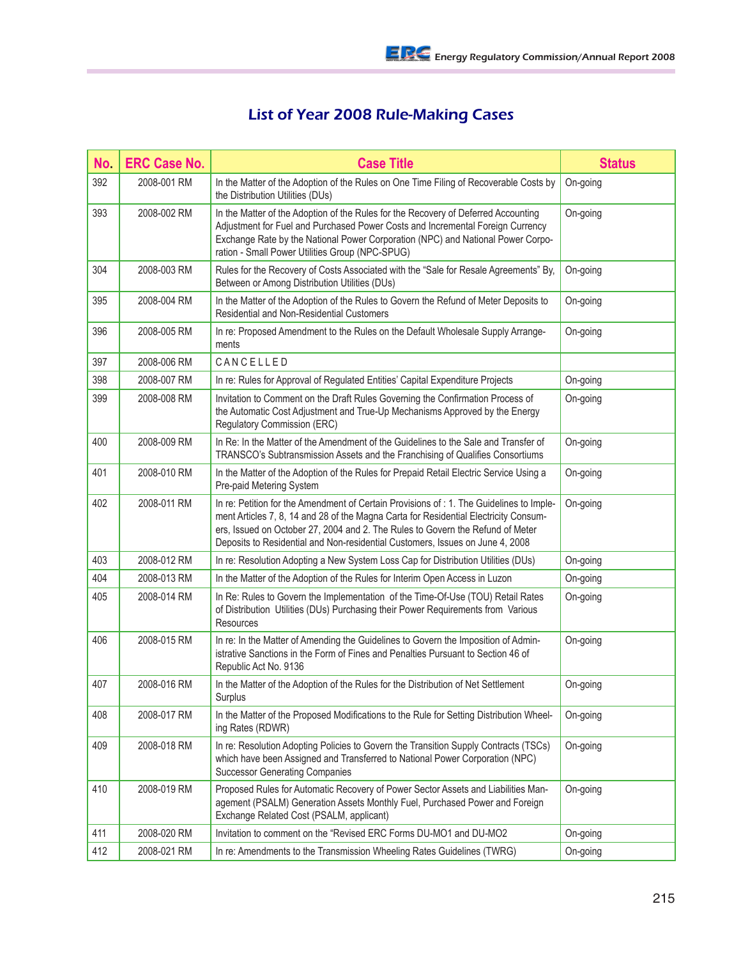## List of Year 2008 Rule-Making Cases

| No. | <b>ERC Case No.</b> | <b>Case Title</b>                                                                                                                                                                                                                                                                                                                                   | <b>Status</b> |
|-----|---------------------|-----------------------------------------------------------------------------------------------------------------------------------------------------------------------------------------------------------------------------------------------------------------------------------------------------------------------------------------------------|---------------|
| 392 | 2008-001 RM         | In the Matter of the Adoption of the Rules on One Time Filing of Recoverable Costs by<br>the Distribution Utilities (DUs)                                                                                                                                                                                                                           | On-going      |
| 393 | 2008-002 RM         | In the Matter of the Adoption of the Rules for the Recovery of Deferred Accounting<br>Adjustment for Fuel and Purchased Power Costs and Incremental Foreign Currency<br>Exchange Rate by the National Power Corporation (NPC) and National Power Corpo-<br>ration - Small Power Utilities Group (NPC-SPUG)                                          | On-going      |
| 304 | 2008-003 RM         | Rules for the Recovery of Costs Associated with the "Sale for Resale Agreements" By,<br>Between or Among Distribution Utilities (DUs)                                                                                                                                                                                                               | On-going      |
| 395 | 2008-004 RM         | In the Matter of the Adoption of the Rules to Govern the Refund of Meter Deposits to<br>Residential and Non-Residential Customers                                                                                                                                                                                                                   | On-going      |
| 396 | 2008-005 RM         | In re: Proposed Amendment to the Rules on the Default Wholesale Supply Arrange-<br>ments                                                                                                                                                                                                                                                            | On-going      |
| 397 | 2008-006 RM         | CANCELLED                                                                                                                                                                                                                                                                                                                                           |               |
| 398 | 2008-007 RM         | In re: Rules for Approval of Regulated Entities' Capital Expenditure Projects                                                                                                                                                                                                                                                                       | On-going      |
| 399 | 2008-008 RM         | Invitation to Comment on the Draft Rules Governing the Confirmation Process of<br>the Automatic Cost Adjustment and True-Up Mechanisms Approved by the Energy<br>Regulatory Commission (ERC)                                                                                                                                                        | On-going      |
| 400 | 2008-009 RM         | In Re: In the Matter of the Amendment of the Guidelines to the Sale and Transfer of<br>TRANSCO's Subtransmission Assets and the Franchising of Qualifies Consortiums                                                                                                                                                                                | On-going      |
| 401 | 2008-010 RM         | In the Matter of the Adoption of the Rules for Prepaid Retail Electric Service Using a<br>Pre-paid Metering System                                                                                                                                                                                                                                  | On-going      |
| 402 | 2008-011 RM         | In re: Petition for the Amendment of Certain Provisions of : 1. The Guidelines to Imple-<br>ment Articles 7, 8, 14 and 28 of the Magna Carta for Residential Electricity Consum-<br>ers, Issued on October 27, 2004 and 2. The Rules to Govern the Refund of Meter<br>Deposits to Residential and Non-residential Customers, Issues on June 4, 2008 | On-going      |
| 403 | 2008-012 RM         | In re: Resolution Adopting a New System Loss Cap for Distribution Utilities (DUs)                                                                                                                                                                                                                                                                   | On-going      |
| 404 | 2008-013 RM         | In the Matter of the Adoption of the Rules for Interim Open Access in Luzon                                                                                                                                                                                                                                                                         | On-going      |
| 405 | 2008-014 RM         | In Re: Rules to Govern the Implementation of the Time-Of-Use (TOU) Retail Rates<br>of Distribution Utilities (DUs) Purchasing their Power Requirements from Various<br>Resources                                                                                                                                                                    | On-going      |
| 406 | 2008-015 RM         | In re: In the Matter of Amending the Guidelines to Govern the Imposition of Admin-<br>istrative Sanctions in the Form of Fines and Penalties Pursuant to Section 46 of<br>Republic Act No. 9136                                                                                                                                                     | On-going      |
| 407 | 2008-016 RM         | In the Matter of the Adoption of the Rules for the Distribution of Net Settlement<br>Surplus                                                                                                                                                                                                                                                        | On-going      |
| 408 | 2008-017 RM         | In the Matter of the Proposed Modifications to the Rule for Setting Distribution Wheel-<br>ing Rates (RDWR)                                                                                                                                                                                                                                         | On-going      |
| 409 | 2008-018 RM         | In re: Resolution Adopting Policies to Govern the Transition Supply Contracts (TSCs)<br>which have been Assigned and Transferred to National Power Corporation (NPC)<br><b>Successor Generating Companies</b>                                                                                                                                       | On-going      |
| 410 | 2008-019 RM         | Proposed Rules for Automatic Recovery of Power Sector Assets and Liabilities Man-<br>agement (PSALM) Generation Assets Monthly Fuel, Purchased Power and Foreign<br>Exchange Related Cost (PSALM, applicant)                                                                                                                                        | On-going      |
| 411 | 2008-020 RM         | Invitation to comment on the "Revised ERC Forms DU-MO1 and DU-MO2                                                                                                                                                                                                                                                                                   | On-going      |
| 412 | 2008-021 RM         | In re: Amendments to the Transmission Wheeling Rates Guidelines (TWRG)                                                                                                                                                                                                                                                                              | On-going      |